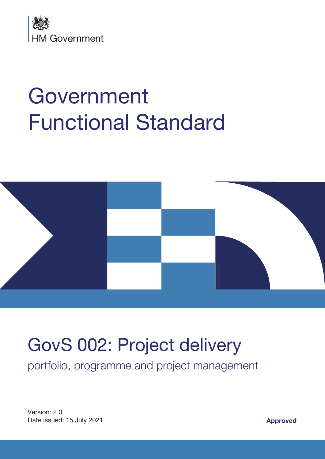

# Government Functional Standard



# GovS 002: Project delivery

portfolio, programme and project management

Version: 2.0 Date issued: 15 July 2021 **Approved**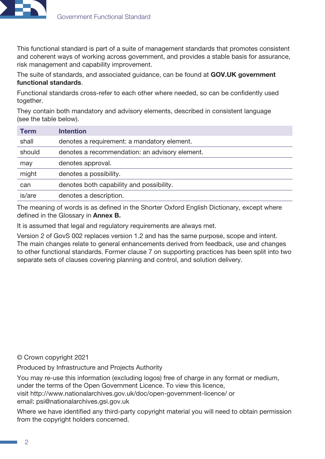

This functional standard is part of a suite of management standards that promotes consistent and coherent ways of working across government, and provides a stable basis for assurance, risk management and capability improvement.

The suite of standards, and associated guidance, can be found at **GOV.UK government** [functional standards](https://www.gov.uk/government/collections/functional-standards).

Functional standards cross-refer to each other where needed, so can be confidently used together.

They contain both mandatory and advisory elements, described in consistent language (see the table below).

| <b>Term</b> | <b>Intention</b>                               |
|-------------|------------------------------------------------|
| shall       | denotes a requirement: a mandatory element.    |
| should      | denotes a recommendation: an advisory element. |
| may         | denotes approval.                              |
| might       | denotes a possibility.                         |
| can         | denotes both capability and possibility.       |
| is/are      | denotes a description.                         |

The meaning of words is as defined in the Shorter Oxford English Dictionary, except where defined in the Glossary in **Annex B.** 

It is assumed that legal and regulatory requirements are always met.

Version 2 of GovS 002 replaces version 1.2 and has the same purpose, scope and intent. The main changes relate to general enhancements derived from feedback, use and changes to other functional standards. Former clause 7 on supporting practices has been split into two separate sets of clauses covering planning and control, and solution delivery.

© Crown copyright 2021

Produced by Infrastructure and Projects Authority

You may re-use this information (excluding logos) free of charge in any format or medium, under the terms of the Open Government Licence. To view this licence, visit <http://www.nationalarchives.gov.uk/doc/open-government-licence/>or email: [psi@nationalarchives.gsi.gov.uk](mailto:psi@nationalarchives.gsi.gov.uk)

Where we have identified any third-party copyright material you will need to obtain permission from the copyright holders concerned.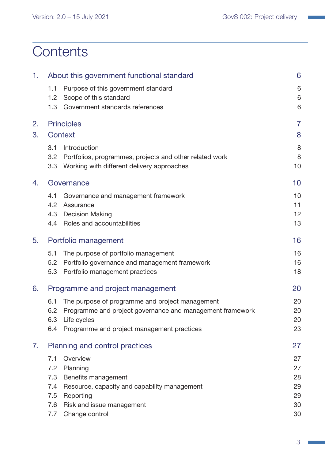# **Contents**

| 1. |                  | About this government functional standard                 | 6              |
|----|------------------|-----------------------------------------------------------|----------------|
|    | 1.1              | Purpose of this government standard                       | 6              |
|    | 1.2 <sub>2</sub> | Scope of this standard                                    | $6\,$          |
|    | 1.3              | Government standards references                           | 6              |
| 2. |                  | <b>Principles</b>                                         | $\overline{7}$ |
| 3. |                  | <b>Context</b>                                            | 8              |
|    | 3.1              | Introduction                                              | 8              |
|    | 3.2              | Portfolios, programmes, projects and other related work   | 8              |
|    |                  | 3.3 Working with different delivery approaches            | 10             |
| 4. |                  | Governance                                                | 10             |
|    | 4.1              | Governance and management framework                       | 10             |
|    | 4.2              | Assurance                                                 | 11             |
|    | 4.3              | <b>Decision Making</b>                                    | 12             |
|    |                  | 4.4 Roles and accountabilities                            | 13             |
| 5. |                  | Portfolio management                                      | 16             |
|    | 5.1              | The purpose of portfolio management                       | 16             |
|    | 5.2              | Portfolio governance and management framework             | 16             |
|    | 5.3              | Portfolio management practices                            | 18             |
| 6. |                  | Programme and project management                          | 20             |
|    | 6.1              | The purpose of programme and project management           | 20             |
|    | 6.2              | Programme and project governance and management framework | 20             |
|    | 6.3              | Life cycles                                               | 20             |
|    | 6.4              | Programme and project management practices                | 23             |
| 7. |                  | Planning and control practices                            | 27             |
|    | 7.1              | Overview                                                  | 27             |
|    | 7.2              | Planning                                                  | 27             |
|    | 7.3              | Benefits management                                       | 28             |
|    | 7.4              | Resource, capacity and capability management              | 29             |
|    | 7.5              | Reporting                                                 | 29             |
|    | 7.6              | Risk and issue management                                 | 30             |
|    | 7.7              | Change control                                            | 30             |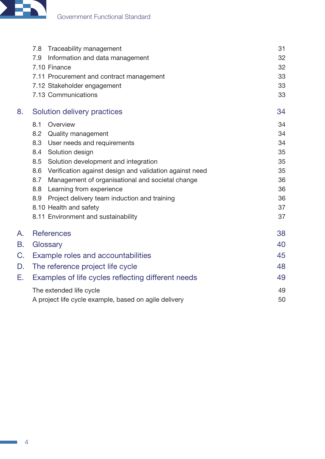

|    | Traceability management<br>7.8                                 | 31 |
|----|----------------------------------------------------------------|----|
|    | 7.9<br>Information and data management                         | 32 |
|    | 7.10 Finance                                                   | 32 |
|    | 7.11 Procurement and contract management                       | 33 |
|    | 7.12 Stakeholder engagement                                    | 33 |
|    | 7.13 Communications                                            | 33 |
| 8. | Solution delivery practices                                    | 34 |
|    | 8.1<br>Overview                                                | 34 |
|    | 8.2<br>Quality management                                      | 34 |
|    | User needs and requirements<br>8.3                             | 34 |
|    | Solution design<br>8.4                                         | 35 |
|    | 8.5<br>Solution development and integration                    | 35 |
|    | Verification against design and validation against need<br>8.6 | 35 |
|    | 8.7<br>Management of organisational and societal change        | 36 |
|    | 8.8<br>Learning from experience                                | 36 |
|    | Project delivery team induction and training<br>8.9            | 36 |
|    | 8.10 Health and safety                                         | 37 |
|    | 8.11 Environment and sustainability                            | 37 |
| A. | <b>References</b>                                              | 38 |
| В. | Glossary                                                       | 40 |
| C. | Example roles and accountabilities                             | 45 |
| D. | The reference project life cycle                               | 48 |
| Е. | Examples of life cycles reflecting different needs             | 49 |
|    | The extended life cycle                                        | 49 |
|    | A project life cycle example, based on agile delivery          | 50 |

 $\mathbb{R}^2$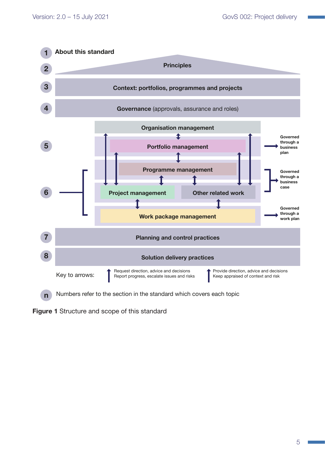

<span id="page-4-0"></span>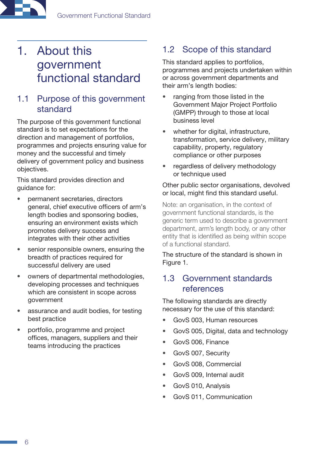# <span id="page-5-0"></span>1. About this government functional standard

# 1.1 Purpose of this government standard

The purpose of this government functional standard is to set expectations for the direction and management of portfolios, programmes and projects ensuring value for money and the successful and timely delivery of government policy and business objectives.

This standard provides direction and guidance for:

- permanent secretaries, directors general, chief executive officers of arm's length bodies and sponsoring bodies, ensuring an environment exists which promotes delivery success and integrates with their other activities
- senior responsible owners, ensuring the breadth of practices required for successful delivery are used
- owners of departmental methodologies, developing processes and techniques which are consistent in scope across government
- assurance and audit bodies, for testing best practice
- portfolio, programme and project offices, managers, suppliers and their teams introducing the practices

# 1.2 Scope of this standard

This standard applies to portfolios, programmes and projects undertaken within or across government departments and their arm's length bodies:

- ranging from those listed in the Government Major Project Portfolio (GMPP) through to those at local business level
- whether for digital, infrastructure, transformation, service delivery, military capability, property, regulatory compliance or other purposes
- regardless of delivery methodology or technique used

#### Other public sector organisations, devolved or local, might find this standard useful.

Note: an organisation, in the context of government functional standards, is the generic term used to describe a government department, arm's length body, or any other entity that is identified as being within scope of a functional standard.

The structure of the standard is shown in Figure 1.

### 1.3 Government standards references

The following standards are directly necessary for the use of this standard:

- GovS 003, Human resources
- GovS 005, Digital, data and technology
- GovS 006, Finance
- GovS 007, Security
- GovS 008, Commercial
- GovS 009, Internal audit
- GovS 010, Analysis
- GovS 011, Communication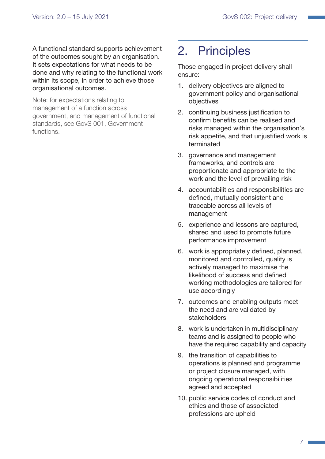<span id="page-6-0"></span>A functional standard supports achievement of the outcomes sought by an organisation. It sets expectations for what needs to be done and why relating to the functional work within its scope, in order to achieve those organisational outcomes.

Note: for expectations relating to management of a function across government, and management of functional standards, see GovS 001, Government functions.

# 2. Principles

Those engaged in project delivery shall ensure:

- 1. delivery objectives are aligned to government policy and organisational objectives
- 2. continuing business justification to confirm benefits can be realised and risks managed within the organisation's risk appetite, and that unjustified work is terminated
- 3. governance and management frameworks, and controls are proportionate and appropriate to the work and the level of prevailing risk
- 4. accountabilities and responsibilities are defined, mutually consistent and traceable across all levels of management
- 5. experience and lessons are captured, shared and used to promote future performance improvement
- 6. work is appropriately defined, planned, monitored and controlled, quality is actively managed to maximise the likelihood of success and defined working methodologies are tailored for use accordingly
- 7. outcomes and enabling outputs meet the need and are validated by stakeholders
- 8. work is undertaken in multidisciplinary teams and is assigned to people who have the required capability and capacity
- 9. the transition of capabilities to operations is planned and programme or project closure managed, with ongoing operational responsibilities agreed and accepted
- 10. public service codes of conduct and ethics and those of associated professions are upheld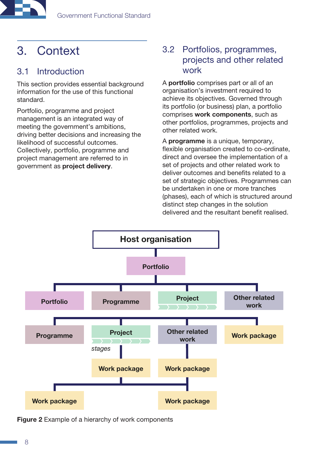<span id="page-7-0"></span>

# <span id="page-7-1"></span>3. Context

# 3.1 Introduction

This section provides essential background information for the use of this functional standard.

Portfolio, programme and project management is an integrated way of meeting the government's ambitions, driving better decisions and increasing the likelihood of successful outcomes. Collectively, portfolio, programme and project management are referred to in government as project delivery.

# 3.2 Portfolios, programmes, projects and other related work

A portfolio comprises part or all of an organisation's investment required to achieve its objectives. Governed through its portfolio (or business) plan, a portfolio comprises work components, such as other portfolios, programmes, projects and other related work.

A programme is a unique, temporary, flexible organisation created to co-ordinate, direct and oversee the implementation of a set of projects and other related work to deliver outcomes and benefits related to a set of strategic objectives. Programmes can be undertaken in one or more tranches (phases), each of which is structured around distinct step changes in the solution delivered and the resultant benefit realised.



<span id="page-7-2"></span>Figure 2 Example of a hierarchy of work components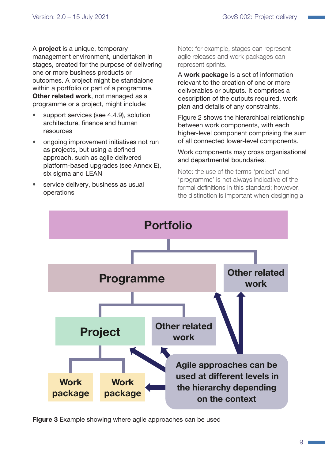A project is a unique, temporary management environment, undertaken in stages, created for the purpose of delivering one or more business products or outcomes. A project might be standalone within a portfolio or part of a programme. Other related work, not managed as a programme or a project, might include:

- support services (see [4.4.9\)](#page-14-0), solution architecture, finance and human resources
- ongoing improvement initiatives not run as projects, but using a defined approach, such as agile delivered platform-based upgrades (see Annex E), six sigma and LEAN
- service delivery, business as usual operations

Note: for example, stages can represent agile releases and work packages can represent sprints.

A work package is a set of information relevant to the creation of one or more deliverables or outputs. It comprises a description of the outputs required, work plan and details of any constraints.

Figure 2 shows the hierarchical relationship between work components, with each higher-level component comprising the sum of all connected lower-level components.

#### Work components may cross organisational and departmental boundaries.

Note: the use of the terms 'project' and 'programme' is not always indicative of the formal definitions in this standard; however, the distinction is important when designing a



Figure 3 Example showing where agile approaches can be used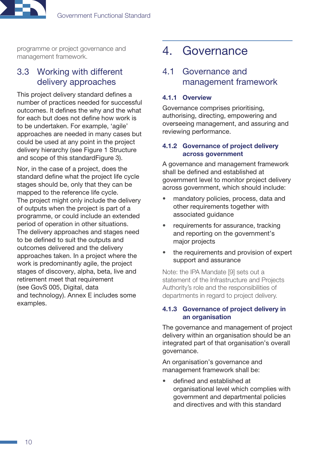<span id="page-9-0"></span>

programme or project governance and management framework.

### 3.3 Working with different delivery approaches

This project delivery standard defines a number of practices needed for successful outcomes. It defines the why and the what for each but does not define how work is to be undertaken. For example, 'agile' approaches are needed in many cases but could be used at any point in the project delivery hierarchy (see [Figure 1 Structure](#page-4-0)  [and scope of this standardF](#page-4-0)igure 3).

Nor, in the case of a project, does the standard define what the project life cycle stages should be, only that they can be mapped to the reference life cycle. The project might only include the delivery of outputs when the project is part of a programme, or could include an extended period of operation in other situations. The delivery approaches and stages need to be defined to suit the outputs and outcomes delivered and the delivery approaches taken. In a project where the work is predominantly agile, the project stages of discovery, alpha, beta, live and retirement meet that requirement (see GovS 005, Digital, data and technology). Annex E includes some examples.

# <span id="page-9-1"></span>4. Governance

## <span id="page-9-2"></span>4.1 Governance and management framework

#### 4.1.1 Overview

Governance comprises prioritising, authorising, directing, empowering and overseeing management, and assuring and reviewing performance.

#### 4.1.2 Governance of project delivery across government

A governance and management framework shall be defined and established at government level to monitor project delivery across government, which should include:

- mandatory policies, process, data and other requirements together with associated guidance
- requirements for assurance, tracking and reporting on the government's major projects
- the requirements and provision of expert support and assurance

Note: the IPA Mandate [9] sets out a statement of the Infrastructure and Projects Authority's role and the responsibilities of departments in regard to project delivery.

#### <span id="page-9-3"></span>4.1.3 Governance of project delivery in an organisation

The governance and management of project delivery within an organisation should be an integrated part of that organisation's overall governance.

An organisation's governance and management framework shall be:

• defined and established at organisational level which complies with government and departmental policies and directives and with this standard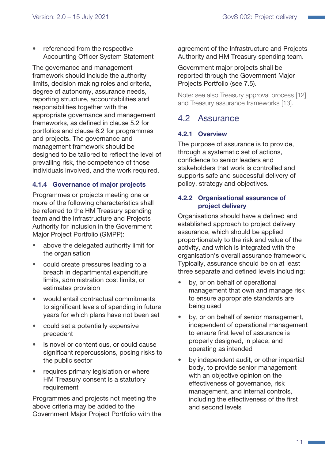<span id="page-10-0"></span>referenced from the respective Accounting Officer System Statement

The governance and management framework should include the authority limits, decision making roles and criteria, degree of autonomy, assurance needs, reporting structure, accountabilities and responsibilities together with the appropriate governance and management frameworks, as defined in clause [5.2](#page-15-1) for portfolios and clause [6.2](#page-19-1) for programmes and projects. The governance and management framework should be designed to be tailored to reflect the level of prevailing risk, the competence of those individuals involved, and the work required.

#### 4.1.4 Governance of major projects

Programmes or projects meeting one or more of the following characteristics shall be referred to the HM Treasury spending team and the Infrastructure and Projects Authority for inclusion in the Government Major Project Portfolio (GMPP):

- above the delegated authority limit for the organisation
- could create pressures leading to a breach in departmental expenditure limits, administration cost limits, or estimates provision
- would entail contractual commitments to significant levels of spending in future years for which plans have not been set
- could set a potentially expensive precedent
- is novel or contentious, or could cause significant repercussions, posing risks to the public sector
- requires primary legislation or where HM Treasury consent is a statutory requirement

Programmes and projects not meeting the above criteria may be added to the Government Major Project Portfolio with the agreement of the Infrastructure and Projects Authority and HM Treasury spending team.

Government major projects shall be reported through the Government Major Projects Portfolio (see [7.5\)](#page-28-1).

Note: see also Treasury approval process [12] and Treasury assurance frameworks [13].

### <span id="page-10-1"></span>4.2 Assurance

### 4.2.1 Overview

The purpose of assurance is to provide, through a systematic set of actions, confidence to senior leaders and stakeholders that work is controlled and supports safe and successful delivery of policy, strategy and objectives.

#### 4.2.2 Organisational assurance of project delivery

Organisations should have a defined and established approach to project delivery assurance, which should be applied proportionately to the risk and value of the activity, and which is integrated with the organisation's overall assurance framework. Typically, assurance should be on at least three separate and defined levels including:

- by, or on behalf of operational management that own and manage risk to ensure appropriate standards are being used
- by, or on behalf of senior management, independent of operational management to ensure first level of assurance is properly designed, in place, and operating as intended
- by independent audit, or other impartial body, to provide senior management with an objective opinion on the effectiveness of governance, risk management, and internal controls, including the effectiveness of the first and second levels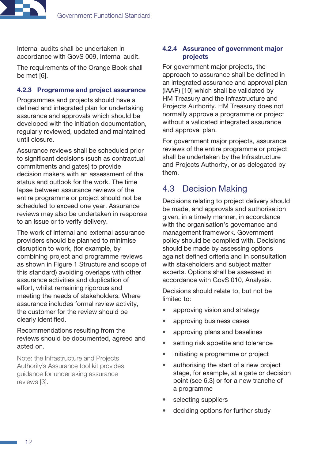<span id="page-11-0"></span>

Internal audits shall be undertaken in accordance with GovS 009, Internal audit.

The requirements of the Orange Book shall be met [6].

#### 4.2.3 Programme and project assurance

Programmes and projects should have a defined and integrated plan for undertaking assurance and approvals which should be developed with the initiation documentation, regularly reviewed, updated and maintained until closure.

Assurance reviews shall be scheduled prior to significant decisions (such as contractual commitments and gates) to provide decision makers with an assessment of the status and outlook for the work. The time lapse between assurance reviews of the entire programme or project should not be scheduled to exceed one year. Assurance reviews may also be undertaken in response to an issue or to verify delivery.

The work of internal and external assurance providers should be planned to minimise disruption to work, (for example, by combining project and programme reviews as shown in [Figure 1 Structure and scope of](#page-4-0)  [this standard](#page-4-0)) avoiding overlaps with other assurance activities and duplication of effort, whilst remaining rigorous and meeting the needs of stakeholders. Where assurance includes formal review activity, the customer for the review should be clearly identified.

Recommendations resulting from the reviews should be documented, agreed and acted on.

Note: the Infrastructure and Projects Authority's Assurance tool kit provides guidance for undertaking assurance reviews [3].

#### 4.2.4 Assurance of government major projects

For government major projects, the approach to assurance shall be defined in an integrated assurance and approval plan (IAAP) [10] which shall be validated by HM Treasury and the Infrastructure and Projects Authority. HM Treasury does not normally approve a programme or project without a validated integrated assurance and approval plan.

For government major projects, assurance reviews of the entire programme or project shall be undertaken by the Infrastructure and Projects Authority, or as delegated by them.

# <span id="page-11-1"></span>4.3 Decision Making

Decisions relating to project delivery should be made, and approvals and authorisation given, in a timely manner, in accordance with the organisation's governance and management framework. Government policy should be complied with. Decisions should be made by assessing options against defined criteria and in consultation with stakeholders and subject matter experts. Options shall be assessed in accordance with GovS 010, Analysis.

Decisions should relate to, but not be limited to:

- approving vision and strategy
- approving business cases
- approving plans and baselines
- setting risk appetite and tolerance
- initiating a programme or project
- authorising the start of a new project stage, for example, at a gate or decision point (see [6.3\)](#page-19-2) or for a new tranche of a programme
- selecting suppliers
- deciding options for further study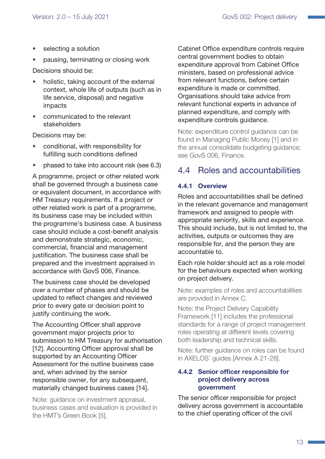- <span id="page-12-0"></span>selecting a solution
- pausing, terminating or closing work

Decisions should be:

- holistic, taking account of the external context, whole life of outputs (such as in life service, disposal) and negative impacts
- communicated to the relevant stakeholders

Decisions may be:

- conditional, with responsibility for fulfilling such conditions defined
- phased to take into account risk (see [6.3](#page-19-2))

A programme, project or other related work shall be governed through a business case or equivalent document, in accordance with HM Treasury requirements. If a project or other related work is part of a programme, its business case may be included within the programme's business case. A business case should include a cost-benefit analysis and demonstrate strategic, economic, commercial, financial and management justification. The business case shall be prepared and the investment appraised in accordance with GovS 006, Finance.

The business case should be developed over a number of phases and should be updated to reflect changes and reviewed prior to every gate or decision point to justify continuing the work.

The Accounting Officer shall approve government major projects prior to submission to HM Treasury for authorisation [12]. Accounting Officer approval shall be supported by an Accounting Officer Assessment for the outline business case and, when advised by the senior responsible owner, for any subsequent, materially changed business cases [14].

Note: guidance on investment appraisal, business cases and evaluation is provided in the HMT's Green Book [5].

Cabinet Office expenditure controls require central government bodies to obtain expenditure approval from Cabinet Office ministers, based on professional advice from relevant functions, before certain expenditure is made or committed. Organisations should take advice from relevant functional experts in advance of planned expenditure, and comply with expenditure controls guidance.

Note: expenditure control guidance can be found in Managing Public Money [1] and in the annual consolidate budgeting guidance; see GovS 006, Finance.

# <span id="page-12-1"></span>4.4 Roles and accountabilities

#### 4.4.1 Overview

Roles and accountabilities shall be defined in the relevant governance and management framework and assigned to people with appropriate seniority, skills and experience. This should include, but is not limited to, the activities, outputs or outcomes they are responsible for, and the person they are accountable to.

Each role holder should act as a role model for the behaviours expected when working on project delivery.

Note: examples of roles and accountabilities are provided in Annex C.

Note: the Project Delivery Capability Framework [11] includes the professional standards for a range of project management roles operating at different levels covering both leadership and technical skills.

Note: further guidance on roles can be found in AXELOS' guides [Annex A 21-28].

#### 4.4.2 Senior officer responsible for project delivery across government

The senior officer responsible for project delivery across government is accountable to the chief operating officer of the civil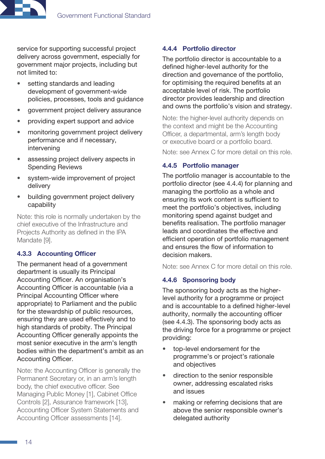

service for supporting successful project delivery across government, especially for government major projects, including but not limited to:

- setting standards and leading development of government-wide policies, processes, tools and guidance
- government project delivery assurance
- providing expert support and advice
- monitoring government project delivery performance and if necessary, intervening
- assessing project delivery aspects in Spending Reviews
- system-wide improvement of project delivery
- building government project delivery capability

Note: this role is normally undertaken by the chief executive of the Infrastructure and Projects Authority as defined in the IPA Mandate [9].

#### <span id="page-13-1"></span>4.3.3 Accounting Officer

The permanent head of a government department is usually its Principal Accounting Officer. An organisation's Accounting Officer is accountable (via a Principal Accounting Officer where appropriate) to Parliament and the public for the stewardship of public resources, ensuring they are used effectively and to high standards of probity. The Principal Accounting Officer generally appoints the most senior executive in the arm's length bodies within the department's ambit as an Accounting Officer.

Note: the Accounting Officer is generally the Permanent Secretary or, in an arm's length body, the chief executive officer. See Managing Public Money [1], Cabinet Office Controls [2], Assurance framework [13], Accounting Officer System Statements and Accounting Officer assessments [14].

#### <span id="page-13-0"></span>4.4.4 Portfolio director

The portfolio director is accountable to a defined higher-level authority for the direction and governance of the portfolio, for optimising the required benefits at an acceptable level of risk. The portfolio director provides leadership and direction and owns the portfolio's vision and strategy.

Note: the higher-level authority depends on the context and might be the Accounting Officer, a departmental, arm's length body or executive board or a portfolio board.

Note: see Annex C for more detail on this role.

#### <span id="page-13-3"></span>4.4.5 Portfolio manager

The portfolio manager is accountable to the portfolio director (see [4.4.4](#page-13-0)) for planning and managing the portfolio as a whole and ensuring its work content is sufficient to meet the portfolio's objectives, including monitoring spend against budget and benefits realisation. The portfolio manager leads and coordinates the effective and efficient operation of portfolio management and ensures the flow of information to decision makers.

Note: see Annex C for more detail on this role.

#### <span id="page-13-2"></span>4.4.6 Sponsoring body

The sponsoring body acts as the higherlevel authority for a programme or project and is accountable to a defined higher-level authority, normally the accounting officer (see [4.4.3\)](#page-13-1). The sponsoring body acts as the driving force for a programme or project providing:

- top-level endorsement for the programme's or project's rationale and objectives
- direction to the senior responsible owner, addressing escalated risks and issues
- making or referring decisions that are above the senior responsible owner's delegated authority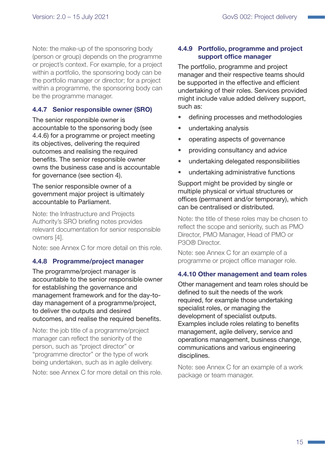Note: the make-up of the sponsoring body (person or group) depends on the programme or project's context. For example, for a project within a portfolio, the sponsoring body can be the portfolio manager or director; for a project within a programme, the sponsoring body can be the programme manager.

#### <span id="page-14-1"></span>4.4.7 Senior responsible owner (SRO)

The senior responsible owner is accountable to the sponsoring body (see [4.4.6](#page-13-2)) for a programme or project meeting its objectives, delivering the required outcomes and realising the required benefits. The senior responsible owner owns the business case and is accountable for governance (see section [4\)](#page-9-1).

The senior responsible owner of a government major project is ultimately accountable to Parliament.

Note: the Infrastructure and Projects Authority's SRO briefing notes provides relevant documentation for senior responsible owners [4].

Note: see Annex C for more detail on this role.

#### <span id="page-14-2"></span>4.4.8 Programme/project manager

The programme/project manager is accountable to the senior responsible owner for establishing the governance and management framework and for the day-today management of a programme/project, to deliver the outputs and desired outcomes, and realise the required benefits.

Note: the job title of a programme/project manager can reflect the seniority of the person, such as "project director" or "programme director" or the type of work being undertaken, such as in agile delivery.

Note: see Annex C for more detail on this role.

#### <span id="page-14-0"></span>4.4.9 Portfolio, programme and project support office manager

The portfolio, programme and project manager and their respective teams should be supported in the effective and efficient undertaking of their roles. Services provided might include value added delivery support, such as:

- defining processes and methodologies
- undertaking analysis
- operating aspects of governance
- providing consultancy and advice
- undertaking delegated responsibilities
- undertaking administrative functions

Support might be provided by single or multiple physical or virtual structures or offices (permanent and/or temporary), which can be centralised or distributed.

Note: the title of these roles may be chosen to reflect the scope and seniority, such as PMO Director, PMO Manager, Head of PMO or P3O® Director.

Note: see Annex C for an example of a programme or project office manager role.

#### 4.4.10 Other management and team roles

Other management and team roles should be defined to suit the needs of the work required, for example those undertaking specialist roles, or managing the development of specialist outputs. Examples include roles relating to benefits management, agile delivery, service and operations management, business change, communications and various engineering disciplines.

Note: see Annex C for an example of a work package or team manager.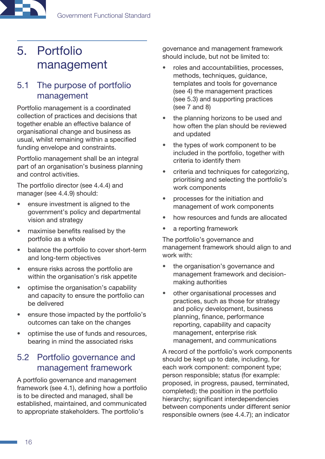# <span id="page-15-0"></span>5. Portfolio management

## <span id="page-15-2"></span>5.1 The purpose of portfolio management

Portfolio management is a coordinated collection of practices and decisions that together enable an effective balance of organisational change and business as usual, whilst remaining within a specified funding envelope and constraints.

Portfolio management shall be an integral part of an organisation's business planning and control activities.

The portfolio director (see [4.4.4\)](#page-13-0) and manager (see [4.4.9\)](#page-14-0) should:

- ensure investment is aligned to the government's policy and departmental vision and strategy
- maximise benefits realised by the portfolio as a whole
- balance the portfolio to cover short-term and long-term objectives
- ensure risks across the portfolio are within the organisation's risk appetite
- optimise the organisation's capability and capacity to ensure the portfolio can be delivered
- ensure those impacted by the portfolio's outcomes can take on the changes
- optimise the use of funds and resources, bearing in mind the associated risks

# <span id="page-15-1"></span>5.2 Portfolio governance and management framework

A portfolio governance and management framework (see [4.1](#page-9-2)), defining how a portfolio is to be directed and managed, shall be established, maintained, and communicated to appropriate stakeholders. The portfolio's

governance and management framework should include, but not be limited to:

- roles and accountabilities, processes, methods, techniques, guidance, templates and tools for governance (see [4](#page-9-1)) the management practices (see [5.3](#page-17-1)) and supporting practices (see [7](#page-26-1) and [8](#page-33-1))
- the planning horizons to be used and how often the plan should be reviewed and updated
- the types of work component to be included in the portfolio, together with criteria to identify them
- criteria and techniques for categorizing, prioritising and selecting the portfolio's work components
- processes for the initiation and management of work components
- how resources and funds are allocated
- a reporting framework

The portfolio's governance and management framework should align to and work with:

- the organisation's governance and management framework and decisionmaking authorities
- other organisational processes and practices, such as those for strategy and policy development, business planning, finance, performance reporting, capability and capacity management, enterprise risk management, and communications

A record of the portfolio's work components should be kept up to date, including, for each work component: component type; person responsible; status (for example: proposed, in progress, paused, terminated, completed); the position in the portfolio hierarchy; significant interdependencies between components under different senior responsible owners (see [4.4.7](#page-14-1)); an indicator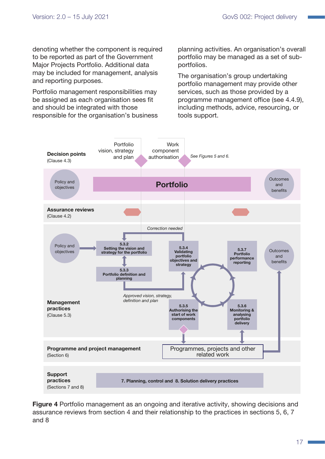denoting whether the component is required to be reported as part of the Government Major Projects Portfolio. Additional data may be included for management, analysis and reporting purposes.

Portfolio management responsibilities may be assigned as each organisation sees fit and should be integrated with those responsible for the organisation's business planning activities. An organisation's overall portfolio may be managed as a set of subportfolios.

The organisation's group undertaking portfolio management may provide other services, such as those provided by a programme management office (see [4.4.9](#page-14-0)), including methods, advice, resourcing, or tools support.



Figure 4 Portfolio management as an ongoing and iterative activity, showing decisions and assurance reviews from section 4 and their relationship to the practices in sections 5, 6, 7 and 8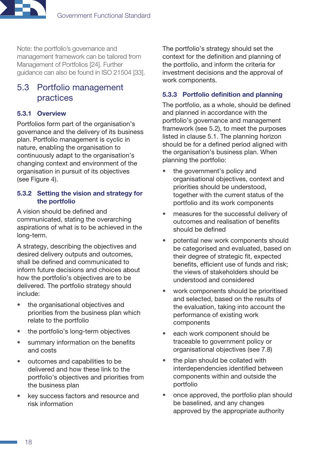<span id="page-17-0"></span>

Note: the portfolio's governance and management framework can be tailored from Management of Portfolios [24]. Further guidance can also be found in ISO 21504 [33].

# <span id="page-17-1"></span>5.3 Portfolio management practices

#### 5.3.1 Overview

Portfolios form part of the organisation's governance and the delivery of its business plan. Portfolio management is cyclic in nature, enabling the organisation to continuously adapt to the organisation's changing context and environment of the organisation in pursuit of its objectives (see Figure 4).

#### 5.3.2 Setting the vision and strategy for the portfolio

A vision should be defined and communicated, stating the overarching aspirations of what is to be achieved in the long-term.

A strategy, describing the objectives and desired delivery outputs and outcomes. shall be defined and communicated to inform future decisions and choices about how the portfolio's objectives are to be delivered. The portfolio strategy should include:

- the organisational objectives and priorities from the business plan which relate to the portfolio
- the portfolio's long-term objectives
- summary information on the benefits and costs
- outcomes and capabilities to be delivered and how these link to the portfolio's objectives and priorities from the business plan
- key success factors and resource and risk information

The portfolio's strategy should set the context for the definition and planning of the portfolio, and inform the criteria for investment decisions and the approval of work components.

#### 5.3.3 Portfolio definition and planning

The portfolio, as a whole, should be defined and planned in accordance with the portfolio's governance and management framework (see [5.2\)](#page-15-1), to meet the purposes listed in clause 5.1. The planning horizon should be for a defined period aligned with the organisation's business plan. When planning the portfolio:

- the government's policy and organisational objectives, context and priorities should be understood, together with the current status of the portfolio and its work components
- measures for the successful delivery of outcomes and realisation of benefits should be defined
- potential new work components should be categorised and evaluated, based on their degree of strategic fit, expected benefits, efficient use of funds and risk; the views of stakeholders should be understood and considered
- work components should be prioritised and selected, based on the results of the evaluation, taking into account the performance of existing work components
- each work component should be traceable to government policy or organisational objectives (see [7.8\)](#page-30-1)
- the plan should be collated with interdependencies identified between components within and outside the portfolio
- once approved, the portfolio plan should be baselined, and any changes approved by the appropriate authority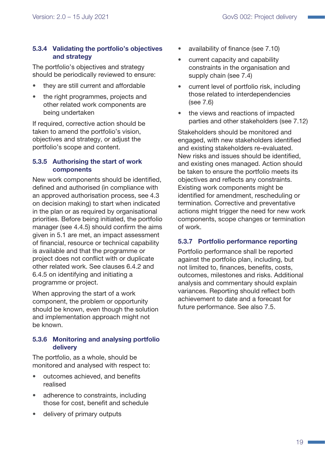#### 5.3.4 Validating the portfolio's objectives and strategy

The portfolio's objectives and strategy should be periodically reviewed to ensure:

- they are still current and affordable
- the right programmes, projects and other related work components are being undertaken

If required, corrective action should be taken to amend the portfolio's vision, objectives and strategy, or adjust the portfolio's scope and content.

#### 5.3.5 Authorising the start of work components

New work components should be identified, defined and authorised (in compliance with an approved authorisation process, see [4.3](#page-11-1)  on decision making) to start when indicated in the plan or as required by organisational priorities. Before being initiated, the portfolio manager (see [4.4.5](#page-13-3)) should confirm the aims given in [5.1](#page-15-2) are met, an impact assessment of financial, resource or technical capability is available and that the programme or project does not conflict with or duplicate other related work. See clauses [6.4.2](#page-22-1) and [6.4.5](#page-24-0) on identifying and initiating a programme or project.

When approving the start of a work component, the problem or opportunity should be known, even though the solution and implementation approach might not be known.

### 5.3.6 Monitoring and analysing portfolio delivery

The portfolio, as a whole, should be monitored and analysed with respect to:

- outcomes achieved, and benefits realised
- adherence to constraints, including those for cost, benefit and schedule
- delivery of primary outputs
- availability of finance (see [7.10](#page-31-1))
- current capacity and capability constraints in the organisation and supply chain (see [7.4\)](#page-28-2)
- current level of portfolio risk, including those related to interdependencies (see [7.6\)](#page-29-1)
- the views and reactions of impacted parties and other stakeholders (see [7.12\)](#page-32-1)

Stakeholders should be monitored and engaged, with new stakeholders identified and existing stakeholders re-evaluated. New risks and issues should be identified, and existing ones managed. Action should be taken to ensure the portfolio meets its objectives and reflects any constraints. Existing work components might be identified for amendment, rescheduling or termination. Corrective and preventative actions might trigger the need for new work components, scope changes or termination of work.

### 5.3.7 Portfolio performance reporting

Portfolio performance shall be reported against the portfolio plan, including, but not limited to, finances, benefits, costs, outcomes, milestones and risks. Additional analysis and commentary should explain variances. Reporting should reflect both achievement to date and a forecast for future performance. See also [7.5](#page-28-1).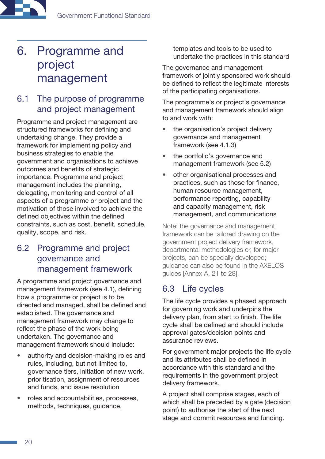# <span id="page-19-0"></span>6. Programme and project management

# 6.1 The purpose of programme and project management

Programme and project management are structured frameworks for defining and undertaking change. They provide a framework for implementing policy and business strategies to enable the government and organisations to achieve outcomes and benefits of strategic importance. Programme and project management includes the planning, delegating, monitoring and control of all aspects of a programme or project and the motivation of those involved to achieve the defined objectives within the defined constraints, such as cost, benefit, schedule, quality, scope, and risk.

# <span id="page-19-1"></span>6.2 Programme and project governance and management framework

A programme and project governance and management framework (see [4.1](#page-9-2)), defining how a programme or project is to be directed and managed, shall be defined and established. The governance and management framework may change to reflect the phase of the work being undertaken. The governance and management framework should include:

- authority and decision-making roles and rules, including, but not limited to, governance tiers, initiation of new work, prioritisation, assignment of resources and funds, and issue resolution
- roles and accountabilities, processes, methods, techniques, guidance,

templates and tools to be used to undertake the practices in this standard

The governance and management framework of jointly sponsored work should be defined to reflect the legitimate interests of the participating organisations.

The programme's or project's governance and management framework should align to and work with:

- the organisation's project delivery governance and management framework (see [4.1.3\)](#page-9-3)
- the portfolio's governance and management framework (see [5.2](#page-15-1))
- <span id="page-19-3"></span>• other organisational processes and practices, such as those for finance, human resource management, performance reporting, capability and capacity management, risk management, and communications

Note: the governance and management framework can be tailored drawing on the government project delivery framework, departmental methodologies or, for major projects, can be specially developed; guidance can also be found in the AXELOS guides [Annex A, 21 to 28].

# <span id="page-19-2"></span>6.3 Life cycles

The life cycle provides a phased approach for governing work and underpins the delivery plan, from start to finish. The life cycle shall be defined and should include approval gates/decision points and assurance reviews.

For government major projects the life cycle and its attributes shall be defined in accordance with this standard and the requirements in the government project delivery framework.

A project shall comprise stages, each of which shall be preceded by a gate (decision point) to authorise the start of the next stage and commit resources and funding.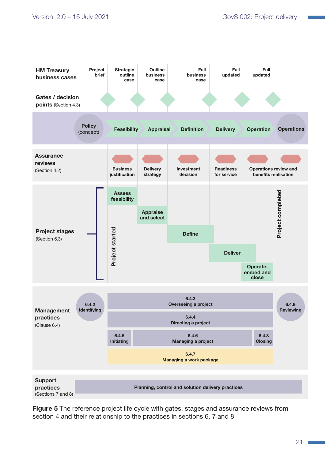

**Figure 5** The reference project life cycle with gates, stages and assurance reviews from section 4 and their relationship to the practices in sections 6, 7 and 8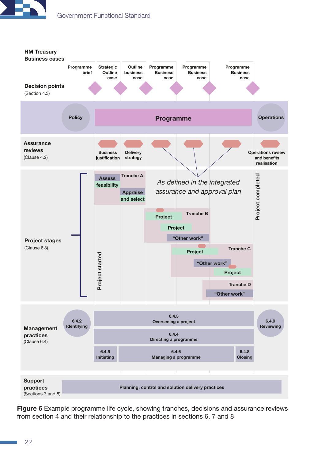



Figure 6 Example programme life cycle, showing tranches, decisions and assurance reviews from section 4 and their relationship to the practices in sections 6, 7 and 8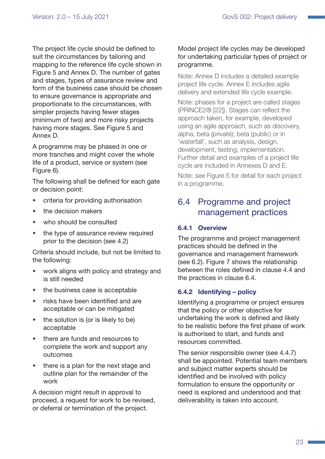<span id="page-22-0"></span>The project life cycle should be defined to suit the circumstances by tailoring and mapping to the reference life cycle shown in Figure 5 and Annex D. The number of gates and stages, types of assurance review and form of the business case should be chosen to ensure governance is appropriate and proportionate to the circumstances, with simpler projects having fewer stages (minimum of two) and more risky projects having more stages. See Figure 5 and Annex D.

A programme may be phased in one or more tranches and might cover the whole life of a product, service or system (see Figure 6).

The following shall be defined for each gate or decision point:

- criteria for providing authorisation
- the decision makers
- who should be consulted
- the type of assurance review required prior to the decision (see [4.2\)](#page-10-1)

Criteria should include, but not be limited to the following:

- work aligns with policy and strategy and is still needed
- the business case is acceptable
- risks have been identified and are acceptable or can be mitigated
- the solution is (or is likely to be) acceptable
- there are funds and resources to complete the work and support any outcomes
- there is a plan for the next stage and outline plan for the remainder of the work

A decision might result in approval to proceed, a request for work to be revised, or deferral or termination of the project.

#### Model project life cycles may be developed for undertaking particular types of project or programme.

Note: Annex D includes a detailed example project life cycle. Annex E includes agile delivery and extended life cycle example.

Note: phases for a project are called stages (PRINCE2® [22]). Stages can reflect the approach taken, for example, developed using an agile approach, such as discovery, alpha, beta (private); beta (public) or in 'waterfall', such as analysis, design, development, testing, implementation. Further detail and examples of a project life cycle are included in Annexes D and E.

Note: see Figure 5 for detail for each project in a programme.

# 6.4 Programme and project management practices

#### 6.4.1 Overview

The programme and project management practices should be defined in the governance and management framework (see [6.2\)](#page-19-1). Figure 7 shows the relationship between the roles defined in clause [4.4](#page-12-1) and the practices in clause 6.4.

#### <span id="page-22-1"></span>6.4.2 Identifying – policy

Identifying a programme or project ensures that the policy or other objective for undertaking the work is defined and likely to be realistic before the first phase of work is authorised to start, and funds and resources committed.

The senior responsible owner (see [4.4.7](#page-14-1)) shall be appointed. Potential team members and subject matter experts should be identified and be involved with policy formulation to ensure the opportunity or need is explored and understood and that deliverability is taken into account.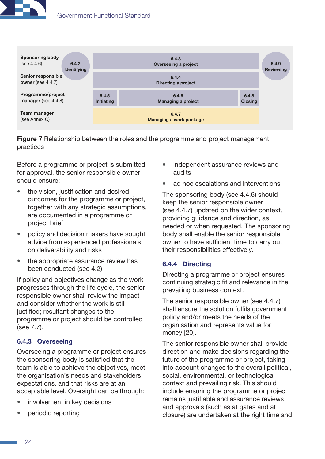



Figure 7 Relationship between the roles and the programme and project management practices

Before a programme or project is submitted for approval, the senior responsible owner should ensure:

- the vision, justification and desired outcomes for the programme or project, together with any strategic assumptions, are documented in a programme or project brief
- policy and decision makers have sought advice from experienced professionals on deliverability and risks
- the appropriate assurance review has been conducted (see [4.2\)](#page-10-1)

If policy and objectives change as the work progresses through the life cycle, the senior responsible owner shall review the impact and consider whether the work is still justified; resultant changes to the programme or project should be controlled (see [7.7](#page-29-2)).

#### 6.4.3 Overseeing

Overseeing a programme or project ensures the sponsoring body is satisfied that the team is able to achieve the objectives, meet the organisation's needs and stakeholders' expectations, and that risks are at an acceptable level. Oversight can be through:

- involvement in key decisions
- periodic reporting
- independent assurance reviews and audits
- ad hoc escalations and interventions

The sponsoring body (see [4.4.6\)](#page-13-2) should keep the senior responsible owner (see [4.4.7\)](#page-14-1) updated on the wider context, providing guidance and direction, as needed or when requested. The sponsoring body shall enable the senior responsible owner to have sufficient time to carry out their responsibilities effectively.

#### 6.4.4 Directing

Directing a programme or project ensures continuing strategic fit and relevance in the prevailing business context.

The senior responsible owner (see [4.4.7\)](#page-14-1) shall ensure the solution fulfils government policy and/or meets the needs of the organisation and represents value for money [20].

The senior responsible owner shall provide direction and make decisions regarding the future of the programme or project, taking into account changes to the overall political, social, environmental, or technological context and prevailing risk. This should include ensuring the programme or project remains justifiable and assurance reviews and approvals (such as at gates and at closure) are undertaken at the right time and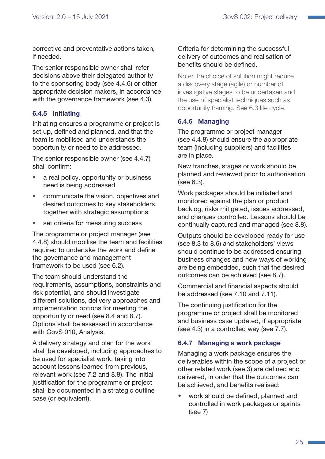corrective and preventative actions taken, if needed.

The senior responsible owner shall refer decisions above their delegated authority to the sponsoring body (see [4.4.6](#page-13-2)) or other appropriate decision makers, in accordance with the governance framework (see [4.3\)](#page-11-1).

#### <span id="page-24-0"></span>6.4.5 Initiating

Initiating ensures a programme or project is set up, defined and planned, and that the team is mobilised and understands the opportunity or need to be addressed.

The senior responsible owner (see [4.4.7\)](#page-14-1) shall confirm:

- a real policy, opportunity or business need is being addressed
- communicate the vision, objectives and desired outcomes to key stakeholders, together with strategic assumptions
- set criteria for measuring success

The programme or project manager (see [4.4.8](#page-14-2)) should mobilise the team and facilities required to undertake the work and define the governance and management framework to be used (see [6.2](#page-19-1)).

The team should understand the requirements, assumptions, constraints and risk potential, and should investigate different solutions, delivery approaches and implementation options for meeting the opportunity or need (see [8.4](#page-34-1) and [8.7](#page-35-1)). Options shall be assessed in accordance with GovS 010, Analysis.

A delivery strategy and plan for the work shall be developed, including approaches to be used for specialist work, taking into account lessons learned from previous, relevant work (see [7.2](#page-26-2) and [8.8](#page-35-2)). The initial justification for the programme or project shall be documented in a strategic outline case (or equivalent).

#### Criteria for determining the successful delivery of outcomes and realisation of benefits should be defined.

Note: the choice of solution might require a discovery stage (agile) or number of investigative stages to be undertaken and the use of specialist techniques such as opportunity framing. See [6.3](#page-19-2) life cycle.

#### 6.4.6 Managing

The programme or project manager (see [4.4.8](#page-14-2)) should ensure the appropriate team (including suppliers) and facilities are in place.

New tranches, stages or work should be planned and reviewed prior to authorisation (see [6.3\)](#page-19-2).

Work packages should be initiated and monitored against the plan or product backlog, risks mitigated, issues addressed, and changes controlled. Lessons should be continually captured and managed (see [8.8](#page-35-2)).

Outputs should be developed ready for use (see [8.3](#page-33-2) to [8.6](#page-34-2)) and stakeholders' views should continue to be addressed ensuring business changes and new ways of working are being embedded, such that the desired outcomes can be achieved (see [8.7](#page-35-1)).

Commercial and financial aspects should be addressed (see [7.10](#page-31-1) and [7.11\)](#page-32-2).

The continuing justification for the programme or project shall be monitored and business case updated, if appropriate (see [4.3\)](#page-11-1) in a controlled way (see [7.7\)](#page-29-2).

#### 6.4.7 Managing a work package

Managing a work package ensures the deliverables within the scope of a project or other related work (see [3\)](#page-7-1) are defined and delivered, in order that the outcomes can be achieved, and benefits realised:

• work should be defined, planned and controlled in work packages or sprints (see [7\)](#page-26-1)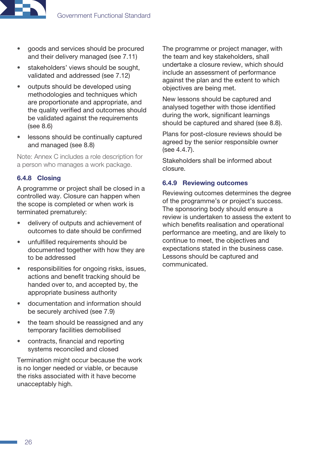

- goods and services should be procured and their delivery managed (see [7.11](#page-32-2))
- stakeholders' views should be sought, validated and addressed (see [7.12](#page-32-1))
- outputs should be developed using methodologies and techniques which are proportionate and appropriate, and the quality verified and outcomes should be validated against the requirements (see [8.6](#page-34-2))
- lessons should be continually captured and managed (see [8.8](#page-35-2))

Note: Annex C includes a role description for a person who manages a work package.

#### 6.4.8 Closing

A programme or project shall be closed in a controlled way. Closure can happen when the scope is completed or when work is terminated prematurely:

- delivery of outputs and achievement of outcomes to date should be confirmed
- unfulfilled requirements should be documented together with how they are to be addressed
- responsibilities for ongoing risks, issues, actions and benefit tracking should be handed over to, and accepted by, the appropriate business authority
- documentation and information should be securely archived (see [7.9](#page-31-2))
- the team should be reassigned and any temporary facilities demobilised
- contracts, financial and reporting systems reconciled and closed

Termination might occur because the work is no longer needed or viable, or because the risks associated with it have become unacceptably high.

The programme or project manager, with the team and key stakeholders, shall undertake a closure review, which should include an assessment of performance against the plan and the extent to which objectives are being met.

New lessons should be captured and analysed together with those identified during the work, significant learnings should be captured and shared (see [8.8\)](#page-35-2).

Plans for post-closure reviews should be agreed by the senior responsible owner (see [4.4.7\)](#page-14-1).

Stakeholders shall be informed about closure.

#### 6.4.9 Reviewing outcomes

Reviewing outcomes determines the degree of the programme's or project's success. The sponsoring body should ensure a review is undertaken to assess the extent to which benefits realisation and operational performance are meeting, and are likely to continue to meet, the objectives and expectations stated in the business case. Lessons should be captured and communicated.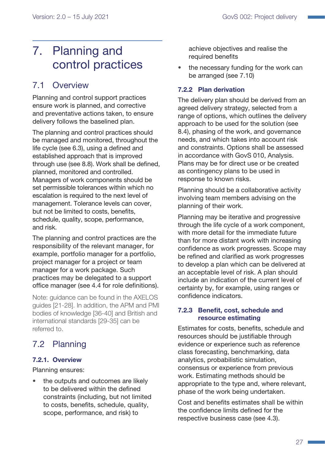# <span id="page-26-1"></span><span id="page-26-0"></span>7. Planning and control practices

# 7.1 Overview

Planning and control support practices ensure work is planned, and corrective and preventative actions taken, to ensure delivery follows the baselined plan.

The planning and control practices should be managed and monitored, throughout the life cycle (see [6.3](#page-19-2)), using a defined and established approach that is improved through use (see [8.8](#page-35-2)). Work shall be defined, planned, monitored and controlled. Managers of work components should be set permissible tolerances within which no escalation is required to the next level of management. Tolerance levels can cover, but not be limited to costs, benefits, schedule, quality, scope, performance, and risk.

The planning and control practices are the responsibility of the relevant manager, for example, portfolio manager for a portfolio, project manager for a project or team manager for a work package. Such practices may be delegated to a support office manager (see [4.4](#page-12-1) for role definitions).

Note: guidance can be found in the AXELOS guides [21-28]. In addition, the APM and PMI bodies of knowledge [36-40] and British and international standards [29-35] can be referred to.

# <span id="page-26-2"></span>7.2 Planning

### 7.2.1. Overview

Planning ensures:

the outputs and outcomes are likely to be delivered within the defined constraints (including, but not limited to costs, benefits, schedule, quality, scope, performance, and risk) to

achieve objectives and realise the required benefits

• the necessary funding for the work can be arranged (see [7.10\)](#page-31-1)

#### <span id="page-26-3"></span>7.2.2 Plan derivation

The delivery plan should be derived from an agreed delivery strategy, selected from a range of options, which outlines the delivery approach to be used for the solution (see [8.4\)](#page-34-1), phasing of the work, and governance needs, and which takes into account risk and constraints. Options shall be assessed in accordance with GovS 010, Analysis. Plans may be for direct use or be created as contingency plans to be used in response to known risks.

Planning should be a collaborative activity involving team members advising on the planning of their work.

Planning may be iterative and progressive through the life cycle of a work component, with more detail for the immediate future than for more distant work with increasing confidence as work progresses. Scope may be refined and clarified as work progresses to develop a plan which can be delivered at an acceptable level of risk. A plan should include an indication of the current level of certainty by, for example, using ranges or confidence indicators.

#### 7.2.3 Benefit, cost, schedule and resource estimating

Estimates for costs, benefits, schedule and resources should be justifiable through evidence or experience such as reference class forecasting, benchmarking, data analytics, probabilistic simulation, consensus or experience from previous work. Estimating methods should be appropriate to the type and, where relevant, phase of the work being undertaken.

Cost and benefits estimates shall be within the confidence limits defined for the respective business case (see [4.3](#page-11-1)).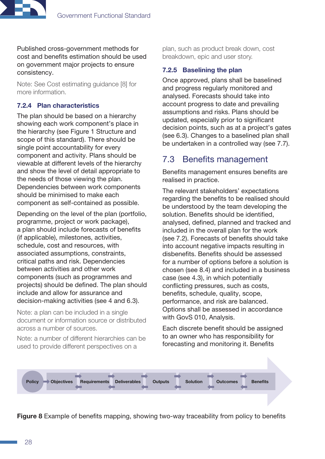<span id="page-27-0"></span>

Published cross-government methods for cost and benefits estimation should be used on government major projects to ensure consistency.

Note: See Cost estimating guidance [8] for more information.

#### 7.2.4 Plan characteristics

The plan should be based on a hierarchy showing each work component's place in the hierarchy (see [Figure 1 Structure and](#page-4-0)  [scope of this standard](#page-4-0)). There should be single point accountability for every component and activity. Plans should be viewable at different levels of the hierarchy and show the level of detail appropriate to the needs of those viewing the plan. Dependencies between work components should be minimised to make each component as self-contained as possible.

Depending on the level of the plan (portfolio, programme, project or work package), a plan should include forecasts of benefits (if applicable), milestones, activities, schedule, cost and resources, with associated assumptions, constraints, critical paths and risk. Dependencies between activities and other work components (such as programmes and projects) should be defined. The plan should include and allow for assurance and decision-making activities (see [4](#page-9-1) and [6.3](#page-19-2)).

Note: a plan can be included in a single document or information source or distributed across a number of sources.

Note: a number of different hierarchies can be used to provide different perspectives on a

plan, such as product break down, cost breakdown, epic and user story.

#### <span id="page-27-1"></span>7.2.5 Baselining the plan

Once approved, plans shall be baselined and progress regularly monitored and analysed. Forecasts should take into account progress to date and prevailing assumptions and risks. Plans should be updated, especially prior to significant decision points, such as at a project's gates (see [6.3\)](#page-19-2). Changes to a baselined plan shall be undertaken in a controlled way (see [7.7\)](#page-29-2).

### 7.3 Benefits management

Benefits management ensures benefits are realised in practice.

The relevant stakeholders' expectations regarding the benefits to be realised should be understood by the team developing the solution. Benefits should be identified, analysed, defined, planned and tracked and included in the overall plan for the work (see [7.2\)](#page-26-2). Forecasts of benefits should take into account negative impacts resulting in disbenefits. Benefits should be assessed for a number of options before a solution is chosen (see [8.4](#page-34-1)) and included in a business case (see [4.3](#page-11-1)), in which potentially conflicting pressures, such as costs, benefits, schedule, quality, scope, performance, and risk are balanced. Options shall be assessed in accordance with GovS 010, Analysis.

Each discrete benefit should be assigned to an owner who has responsibility for forecasting and monitoring it. Benefits



**Figure 8** Example of benefits mapping, showing two-way traceability from policy to benefits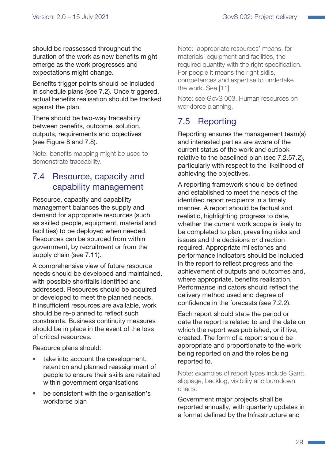<span id="page-28-0"></span>should be reassessed throughout the duration of the work as new benefits might emerge as the work progresses and expectations might change.

Benefits trigger points should be included in schedule plans (see [7.2](#page-26-2)). Once triggered, actual benefits realisation should be tracked against the plan.

There should be two-way traceability between benefits, outcome, solution, outputs, requirements and objectives (see Figure 8 and [7.8](#page-30-1)).

Note: benefits mapping might be used to demonstrate traceability.

# <span id="page-28-2"></span>7.4 Resource, capacity and capability management

Resource, capacity and capability management balances the supply and demand for appropriate resources (such as skilled people, equipment, material and facilities) to be deployed when needed. Resources can be sourced from within government, by recruitment or from the supply chain (see [7.11](#page-32-2)).

A comprehensive view of future resource needs should be developed and maintained, with possible shortfalls identified and addressed. Resources should be acquired or developed to meet the planned needs. If insufficient resources are available, work should be re-planned to reflect such constraints. Business continuity measures should be in place in the event of the loss of critical resources.

Resource plans should:

- take into account the development, retention and planned reassignment of people to ensure their skills are retained within government organisations
- be consistent with the organisation's workforce plan

Note: 'appropriate resources' means, for materials, equipment and facilities, the required quantity with the right specification. For people it means the right skills, competences and expertise to undertake the work. See [11].

Note: see GovS 003, Human resources on workforce planning.

# <span id="page-28-1"></span>7.5 Reporting

Reporting ensures the management team(s) and interested parties are aware of the current status of the work and outlook relative to the baselined plan (see [7.2.5](#page-27-1)[7.2\)](#page-26-2), particularly with respect to the likelihood of achieving the objectives.

A reporting framework should be defined and established to meet the needs of the identified report recipients in a timely manner. A report should be factual and realistic, highlighting progress to date, whether the current work scope is likely to be completed to plan, prevailing risks and issues and the decisions or direction required. Appropriate milestones and performance indicators should be included in the report to reflect progress and the achievement of outputs and outcomes and, where appropriate, benefits realisation. Performance indicators should reflect the delivery method used and degree of confidence in the forecasts (see [7.2.2](#page-26-3)).

Each report should state the period or date the report is related to and the date on which the report was published, or if live, created. The form of a report should be appropriate and proportionate to the work being reported on and the roles being reported to.

Note: examples of report types include Gantt, slippage, backlog, visibility and burndown charts.

Government major projects shall be reported annually, with quarterly updates in a format defined by the Infrastructure and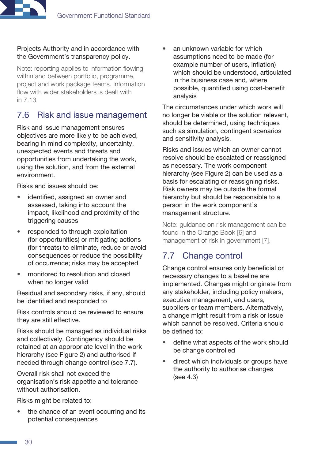#### <span id="page-29-0"></span>Projects Authority and in accordance with the Government's transparency policy.

Note: reporting applies to information flowing within and between portfolio, programme, project and work package teams. Information flow with wider stakeholders is dealt with in [7.13](#page-32-3)

# <span id="page-29-1"></span>7.6 Risk and issue management

Risk and issue management ensures objectives are more likely to be achieved, bearing in mind complexity, uncertainty, unexpected events and threats and opportunities from undertaking the work, using the solution, and from the external environment.

Risks and issues should be:

- identified, assigned an owner and assessed, taking into account the impact, likelihood and proximity of the triggering causes
- responded to through exploitation (for opportunities) or mitigating actions (for threats) to eliminate, reduce or avoid consequences or reduce the possibility of occurrence; risks may be accepted
- monitored to resolution and closed when no longer valid

Residual and secondary risks, if any, should be identified and responded to

Risk controls should be reviewed to ensure they are still effective.

Risks should be managed as individual risks and collectively. Contingency should be retained at an appropriate level in the work hierarchy (see [Figure 2\)](#page-7-2) and authorised if needed through change control (see [7.7](#page-29-2)).

Overall risk shall not exceed the organisation's risk appetite and tolerance without authorisation.

Risks might be related to:

the chance of an event occurring and its potential consequences

an unknown variable for which assumptions need to be made (for example number of users, inflation) which should be understood, articulated in the business case and, where possible, quantified using cost-benefit analysis

The circumstances under which work will no longer be viable or the solution relevant, should be determined, using techniques such as simulation, contingent scenarios and sensitivity analysis.

Risks and issues which an owner cannot resolve should be escalated or reassigned as necessary. The work component hierarchy (see [Figure 2](#page-7-2)) can be used as a basis for escalating or reassigning risks. Risk owners may be outside the formal hierarchy but should be responsible to a person in the work component's management structure.

Note: guidance on risk management can be found in the Orange Book [6] and management of risk in government [7].

# <span id="page-29-2"></span>7.7 Change control

Change control ensures only beneficial or necessary changes to a baseline are implemented. Changes might originate from any stakeholder, including policy makers, executive management, end users, suppliers or team members. Alternatively, a change might result from a risk or issue which cannot be resolved. Criteria should be defined to:

- define what aspects of the work should be change controlled
- direct which individuals or groups have the authority to authorise changes (see [4.3](#page-11-1))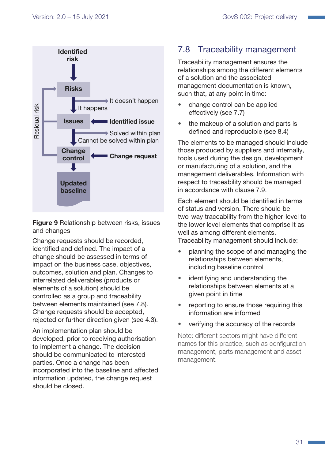<span id="page-30-0"></span>

Figure 9 Relationship between risks, issues and changes

Change requests should be recorded, identified and defined. The impact of a change should be assessed in terms of impact on the business case, objectives, outcomes, solution and plan. Changes to interrelated deliverables (products or elements of a solution) should be controlled as a group and traceability between elements maintained (see [7.8](#page-30-1)). Change requests should be accepted, rejected or further direction given (see [4.3\)](#page-11-1).

An implementation plan should be developed, prior to receiving authorisation to implement a change. The decision should be communicated to interested parties. Once a change has been incorporated into the baseline and affected information updated, the change request should be closed.

# <span id="page-30-1"></span>7.8 Traceability management

Traceability management ensures the relationships among the different elements of a solution and the associated management documentation is known, such that, at any point in time:

- change control can be applied effectively (see [7.7](#page-29-2))
- the makeup of a solution and parts is defined and reproducible (see [8.4\)](#page-34-1)

The elements to be managed should include those produced by suppliers and internally, tools used during the design, development or manufacturing of a solution, and the management deliverables. Information with respect to traceability should be managed in accordance with clause 7.9.

Each element should be identified in terms of status and version. There should be two-way traceability from the higher-level to the lower level elements that comprise it as well as among different elements. Traceability management should include:

- planning the scope of and managing the relationships between elements, including baseline control
- identifying and understanding the relationships between elements at a given point in time
- reporting to ensure those requiring this information are informed
- verifying the accuracy of the records

Note: different sectors might have different names for this practice, such as configuration management, parts management and asset management.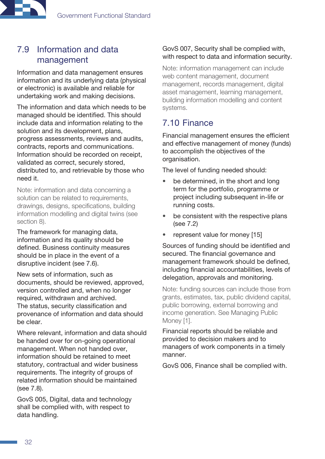# <span id="page-31-2"></span><span id="page-31-0"></span>7.9 Information and data management

Information and data management ensures information and its underlying data (physical or electronic) is available and reliable for undertaking work and making decisions.

The information and data which needs to be managed should be identified. This should include data and information relating to the solution and its development, plans, progress assessments, reviews and audits, contracts, reports and communications. Information should be recorded on receipt, validated as correct, securely stored, distributed to, and retrievable by those who need it.

Note: information and data concerning a solution can be related to requirements, drawings, designs, specifications, building information modelling and digital twins (see section [8](#page-33-1)).

The framework for managing data, information and its quality should be defined. Business continuity measures should be in place in the event of a disruptive incident (see [7.6\)](#page-29-1).

New sets of information, such as documents, should be reviewed, approved, version controlled and, when no longer required, withdrawn and archived. The status, security classification and provenance of information and data should be clear.

Where relevant, information and data should be handed over for on-going operational management. When not handed over, information should be retained to meet statutory, contractual and wider business requirements. The integrity of groups of related information should be maintained (see [7.8](#page-30-1)).

GovS 005, Digital, data and technology shall be complied with, with respect to data handling.

#### GovS 007, Security shall be complied with, with respect to data and information security.

Note: information management can include web content management, document management, records management, digital asset management, learning management, building information modelling and content systems.

# 7.10 Finance

<span id="page-31-1"></span>Financial management ensures the efficient and effective management of money (funds) to accomplish the objectives of the organisation.

The level of funding needed should:

- be determined, in the short and long term for the portfolio, programme or project including subsequent in-life or running costs.
- be consistent with the respective plans (see [7.2](#page-26-2))
- represent value for money [15]

Sources of funding should be identified and secured. The financial governance and management framework should be defined, including financial accountabilities, levels of delegation, approvals and monitoring.

Note: funding sources can include those from grants, estimates, tax, public dividend capital, public borrowing, external borrowing and income generation. See Managing Public Money [1].

Financial reports should be reliable and provided to decision makers and to managers of work components in a timely manner.

GovS 006, Finance shall be complied with.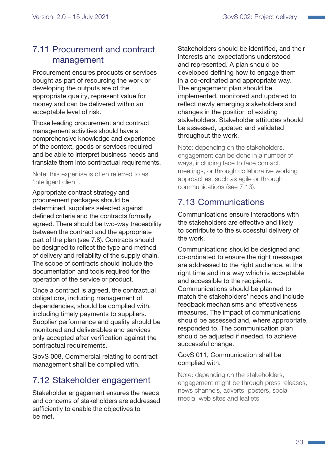# <span id="page-32-2"></span><span id="page-32-0"></span>7.11 Procurement and contract management

Procurement ensures products or services bought as part of resourcing the work or developing the outputs are of the appropriate quality, represent value for money and can be delivered within an acceptable level of risk.

Those leading procurement and contract management activities should have a comprehensive knowledge and experience of the context, goods or services required and be able to interpret business needs and translate them into contractual requirements.

Note: this expertise is often referred to as 'intelligent client'.

Appropriate contract strategy and procurement packages should be determined, suppliers selected against defined criteria and the contracts formally agreed. There should be two-way traceability between the contract and the appropriate part of the plan (see [7.8](#page-30-1)). Contracts should be designed to reflect the type and method of delivery and reliability of the supply chain. The scope of contracts should include the documentation and tools required for the operation of the service or product.

Once a contract is agreed, the contractual obligations, including management of dependencies, should be complied with, including timely payments to suppliers. Supplier performance and quality should be monitored and deliverables and services only accepted after verification against the contractual requirements.

GovS 008, Commercial relating to contract management shall be complied with.

# <span id="page-32-1"></span>7.12 Stakeholder engagement

Stakeholder engagement ensures the needs and concerns of stakeholders are addressed sufficiently to enable the objectives to be met.

Stakeholders should be identified, and their interests and expectations understood and represented. A plan should be developed defining how to engage them in a co-ordinated and appropriate way. The engagement plan should be implemented, monitored and updated to reflect newly emerging stakeholders and changes in the position of existing stakeholders. Stakeholder attitudes should be assessed, updated and validated throughout the work.

Note: depending on the stakeholders, engagement can be done in a number of ways, including face to face contact, meetings, or through collaborative working approaches, such as agile or through communications (see [7.13](#page-32-3)).

# <span id="page-32-3"></span>7.13 Communications

Communications ensure interactions with the stakeholders are effective and likely to contribute to the successful delivery of the work.

Communications should be designed and co-ordinated to ensure the right messages are addressed to the right audience, at the right time and in a way which is acceptable and accessible to the recipients. Communications should be planned to match the stakeholders' needs and include feedback mechanisms and effectiveness measures. The impact of communications should be assessed and, where appropriate, responded to. The communication plan should be adjusted if needed, to achieve successful change.

#### GovS 011, Communication shall be complied with.

Note: depending on the stakeholders, engagement might be through press releases, news channels, adverts, posters, social media, web sites and leaflets.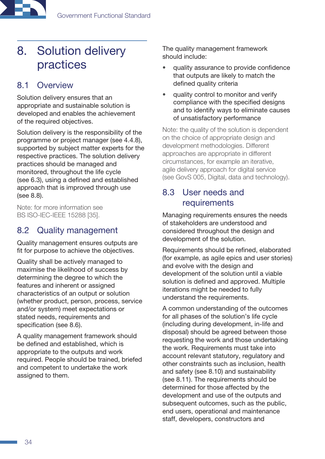<span id="page-33-0"></span>

# <span id="page-33-1"></span>8. Solution delivery practices

# 8.1 Overview

Solution delivery ensures that an appropriate and sustainable solution is developed and enables the achievement of the required objectives.

Solution delivery is the responsibility of the programme or project manager (see [4.4.8](#page-14-2)), supported by subject matter experts for the respective practices. The solution delivery practices should be managed and monitored, throughout the life cycle (see [6.3](#page-19-2)), using a defined and established approach that is improved through use (see [8.8](#page-35-2)).

Note: for more information see BS ISO-IEC-IEEE 15288 [35].

### 8.2 Quality management

Quality management ensures outputs are fit for purpose to achieve the objectives.

Quality shall be actively managed to maximise the likelihood of success by determining the degree to which the features and inherent or assigned characteristics of an output or solution (whether product, person, process, service and/or system) meet expectations or stated needs, requirements and specification (see [8.6](#page-34-2)).

A quality management framework should be defined and established, which is appropriate to the outputs and work required. People should be trained, briefed and competent to undertake the work assigned to them.

The quality management framework should include:

- quality assurance to provide confidence that outputs are likely to match the defined quality criteria
- quality control to monitor and verify compliance with the specified designs and to identify ways to eliminate causes of unsatisfactory performance

Note: the quality of the solution is dependent on the choice of appropriate design and development methodologies. Different approaches are appropriate in different circumstances, for example an iterative, agile delivery approach for digital service (see GovS 005, Digital, data and technology).

### <span id="page-33-2"></span>8.3 User needs and requirements

Managing requirements ensures the needs of stakeholders are understood and considered throughout the design and development of the solution.

Requirements should be refined, elaborated (for example, as agile epics and user stories) and evolve with the design and development of the solution until a viable solution is defined and approved. Multiple iterations might be needed to fully understand the requirements.

A common understanding of the outcomes for all phases of the solution's life cycle (including during development, in-life and disposal) should be agreed between those requesting the work and those undertaking the work. Requirements must take into account relevant statutory, regulatory and other constraints such as inclusion, health and safety (see [8.10](#page-36-1)) and sustainability (see [8.11](#page-36-2)). The requirements should be determined for those affected by the development and use of the outputs and subsequent outcomes, such as the public, end users, operational and maintenance staff, developers, constructors and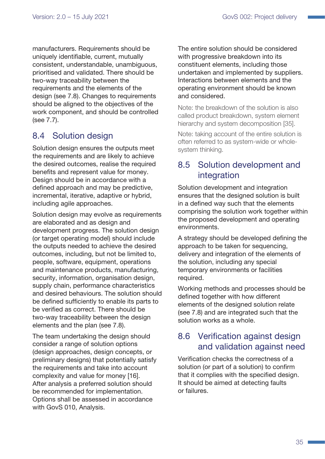<span id="page-34-0"></span>manufacturers. Requirements should be uniquely identifiable, current, mutually consistent, understandable, unambiguous, prioritised and validated. There should be two-way traceability between the requirements and the elements of the design (see [7.8\)](#page-30-1). Changes to requirements should be aligned to the objectives of the work component, and should be controlled (see [7.7\)](#page-29-2).

# <span id="page-34-1"></span>8.4 Solution design

Solution design ensures the outputs meet the requirements and are likely to achieve the desired outcomes, realise the required benefits and represent value for money. Design should be in accordance with a defined approach and may be predictive, incremental, iterative, adaptive or hybrid, including agile approaches.

Solution design may evolve as requirements are elaborated and as design and development progress. The solution design (or target operating model) should include the outputs needed to achieve the desired outcomes, including, but not be limited to, people, software, equipment, operations and maintenance products, manufacturing, security, information, organisation design, supply chain, performance characteristics and desired behaviours. The solution should be defined sufficiently to enable its parts to be verified as correct. There should be two-way traceability between the design elements and the plan (see [7.8\)](#page-30-1).

The team undertaking the design should consider a range of solution options (design approaches, design concepts, or preliminary designs) that potentially satisfy the requirements and take into account complexity and value for money [16]. After analysis a preferred solution should be recommended for implementation. Options shall be assessed in accordance with GovS 010, Analysis.

The entire solution should be considered with progressive breakdown into its constituent elements, including those undertaken and implemented by suppliers. Interactions between elements and the operating environment should be known and considered.

Note: the breakdown of the solution is also called product breakdown, system element hierarchy and system decomposition [35].

Note: taking account of the entire solution is often referred to as system-wide or wholesystem thinking.

### 8.5 Solution development and integration

Solution development and integration ensures that the designed solution is built in a defined way such that the elements comprising the solution work together within the proposed development and operating environments.

A strategy should be developed defining the approach to be taken for sequencing, delivery and integration of the elements of the solution, including any special temporary environments or facilities required.

Working methods and processes should be defined together with how different elements of the designed solution relate (see [7.8\)](#page-30-1) and are integrated such that the solution works as a whole.

# <span id="page-34-2"></span>8.6 Verification against design and validation against need

Verification checks the correctness of a solution (or part of a solution) to confirm that it complies with the specified design. It should be aimed at detecting faults or failures.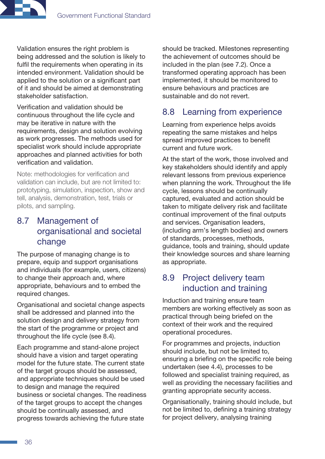<span id="page-35-0"></span>Validation ensures the right problem is being addressed and the solution is likely to fulfil the requirements when operating in its intended environment. Validation should be applied to the solution or a significant part of it and should be aimed at demonstrating stakeholder satisfaction.

Verification and validation should be continuous throughout the life cycle and may be iterative in nature with the requirements, design and solution evolving as work progresses. The methods used for specialist work should include appropriate approaches and planned activities for both verification and validation.

Note: methodologies for verification and validation can include, but are not limited to: prototyping, simulation, inspection, show and tell, analysis, demonstration, test, trials or pilots, and sampling.

# <span id="page-35-1"></span>8.7 Management of organisational and societal change

The purpose of managing change is to prepare, equip and support organisations and individuals (for example, users, citizens) to change their approach and, where appropriate, behaviours and to embed the required changes.

Organisational and societal change aspects shall be addressed and planned into the solution design and delivery strategy from the start of the programme or project and throughout the life cycle (see [8.4\)](#page-34-1).

Each programme and stand-alone project should have a vision and target operating model for the future state. The current state of the target groups should be assessed, and appropriate techniques should be used to design and manage the required business or societal changes. The readiness of the target groups to accept the changes should be continually assessed, and progress towards achieving the future state

should be tracked. Milestones representing the achievement of outcomes should be included in the plan (see [7.2\)](#page-26-2). Once a transformed operating approach has been implemented, it should be monitored to ensure behaviours and practices are sustainable and do not revert.

# <span id="page-35-2"></span>8.8 Learning from experience

Learning from experience helps avoids repeating the same mistakes and helps spread improved practices to benefit current and future work.

At the start of the work, those involved and key stakeholders should identify and apply relevant lessons from previous experience when planning the work. Throughout the life cycle, lessons should be continually captured, evaluated and action should be taken to mitigate delivery risk and facilitate continual improvement of the final outputs and services. Organisation leaders, (including arm's length bodies) and owners of standards, processes, methods, guidance, tools and training, should update their knowledge sources and share learning as appropriate.

# 8.9 Project delivery team induction and training

Induction and training ensure team members are working effectively as soon as practical through being briefed on the context of their work and the required operational procedures.

For programmes and projects, induction should include, but not be limited to, ensuring a briefing on the specific role being undertaken (see [4.4](#page-12-1)), processes to be followed and specialist training required, as well as providing the necessary facilities and granting appropriate security access.

Organisationally, training should include, but not be limited to, defining a training strategy for project delivery, analysing training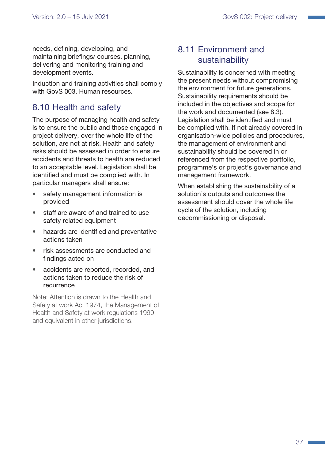<span id="page-36-0"></span>needs, defining, developing, and maintaining briefings/ courses, planning, delivering and monitoring training and development events.

Induction and training activities shall comply with GovS 003, Human resources.

# <span id="page-36-1"></span>8.10 Health and safety

The purpose of managing health and safety is to ensure the public and those engaged in project delivery, over the whole life of the solution, are not at risk. Health and safety risks should be assessed in order to ensure accidents and threats to health are reduced to an acceptable level. Legislation shall be identified and must be complied with. In particular managers shall ensure:

- safety management information is provided
- staff are aware of and trained to use safety related equipment
- hazards are identified and preventative actions taken
- risk assessments are conducted and findings acted on
- accidents are reported, recorded, and actions taken to reduce the risk of recurrence

Note: Attention is drawn to the Health and Safety at work Act 1974, the Management of Health and Safety at work regulations 1999 and equivalent in other jurisdictions.

# <span id="page-36-2"></span>8.11 Environment and sustainability

Sustainability is concerned with meeting the present needs without compromising the environment for future generations. Sustainability requirements should be included in the objectives and scope for the work and documented (see [8.3](#page-33-2)). Legislation shall be identified and must be complied with. If not already covered in organisation-wide policies and procedures, the management of environment and sustainability should be covered in or referenced from the respective portfolio, programme's or project's governance and management framework.

When establishing the sustainability of a solution's outputs and outcomes the assessment should cover the whole life cycle of the solution, including decommissioning or disposal.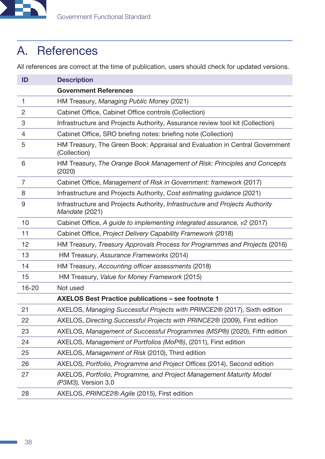<span id="page-37-0"></span>

# A. References

All references are correct at the time of publication, users should check for updated versions.

| ID             | <b>Description</b>                                                                             |
|----------------|------------------------------------------------------------------------------------------------|
|                | <b>Government References</b>                                                                   |
| 1              | HM Treasury, Managing Public Money (2021)                                                      |
| 2              | Cabinet Office, Cabinet Office controls (Collection)                                           |
| 3              | Infrastructure and Projects Authority, Assurance review tool kit (Collection)                  |
| 4              | Cabinet Office, SRO briefing notes: briefing note (Collection)                                 |
| 5              | HM Treasury, The Green Book: Appraisal and Evaluation in Central Government<br>(Collection)    |
| 6              | HM Treasury, The Orange Book Management of Risk: Principles and Concepts<br>(2020)             |
| $\overline{7}$ | Cabinet Office, Management of Risk in Government: framework (2017)                             |
| 8              | Infrastructure and Projects Authority, Cost estimating guidance (2021)                         |
| 9              | Infrastructure and Projects Authority, Infrastructure and Projects Authority<br>Mandate (2021) |
| 10             | Cabinet Office, A guide to implementing integrated assurance, v2 (2017)                        |
| 11             | Cabinet Office, Project Delivery Capability Framework (2018)                                   |
| 12             | HM Treasury, Treasury Approvals Process for Programmes and Projects (2016)                     |
| 13             | HM Treasury, Assurance Frameworks (2014)                                                       |
| 14             | HM Treasury, Accounting officer assessments (2018)                                             |
| 15             | HM Treasury, Value for Money Framework (2015)                                                  |
| $16 - 20$      | Not used                                                                                       |
|                | <b>AXELOS Best Practice publications - see footnote 1</b>                                      |
| 21             | AXELOS, Managing Successful Projects with PRINCE2 <sup>®</sup> (2017), Sixth edition           |
| 22             | AXELOS, Directing Successful Projects with PRINCE2® (2009), First edition                      |
| 23             | AXELOS, Management of Successful Programmes (MSP®) (2020), Fifth edition                       |
| 24             | AXELOS, Management of Portfolios (MoP®), (2011), First edition                                 |
| 25             | AXELOS, Management of Risk (2010), Third edition                                               |
| 26             | AXELOS, Portfolio, Programme and Project Offices (2014), Second edition                        |
| 27             | AXELOS, Portfolio, Programme, and Project Management Maturity Model<br>(P3M3), Version 3.0     |
| 28             | AXELOS, PRINCE2 <sup>®</sup> Agile (2015), First edition                                       |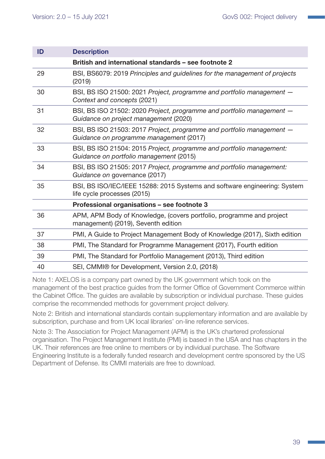| ID | <b>Description</b>                                                                                               |
|----|------------------------------------------------------------------------------------------------------------------|
|    | British and international standards - see footnote 2                                                             |
| 29 | BSI, BS6079: 2019 Principles and guidelines for the management of projects<br>(2019)                             |
| 30 | BSI, BS ISO 21500: 2021 Project, programme and portfolio management -<br>Context and concepts (2021)             |
| 31 | BSI, BS ISO 21502: 2020 Project, programme and portfolio management -<br>Guidance on project management (2020)   |
| 32 | BSI, BS ISO 21503: 2017 Project, programme and portfolio management -<br>Guidance on programme management (2017) |
| 33 | BSI, BS ISO 21504: 2015 Project, programme and portfolio management:<br>Guidance on portfolio management (2015)  |
| 34 | BSI, BS ISO 21505: 2017 Project, programme and portfolio management:<br>Guidance on governance (2017)            |
| 35 | BSI, BS ISO/IEC/IEEE 15288: 2015 Systems and software engineering: System<br>life cycle processes (2015)         |
|    | Professional organisations - see footnote 3                                                                      |
| 36 | APM, APM Body of Knowledge, (covers portfolio, programme and project<br>management) (2019), Seventh edition      |
| 37 | PMI, A Guide to Project Management Body of Knowledge (2017), Sixth edition                                       |
| 38 | PMI, The Standard for Programme Management (2017), Fourth edition                                                |
| 39 | PMI, The Standard for Portfolio Management (2013), Third edition                                                 |
| 40 | SEI, CMMI® for Development, Version 2.0, (2018)                                                                  |

Note 1: AXELOS is a company part owned by the UK government which took on the management of the best practice guides from the former Office of Government Commerce within the Cabinet Office. The guides are available by subscription or individual purchase. These guides comprise the recommended methods for government project delivery.

Note 2: British and international standards contain supplementary information and are available by subscription, purchase and from UK local libraries' on-line reference services.

Note 3: The Association for Project Management (APM) is the UK's chartered professional organisation. The Project Management Institute (PMI) is based in the USA and has chapters in the UK. Their references are free online to members or by individual purchase. The Software Engineering Institute is a federally funded research and development centre sponsored by the US Department of Defense. Its CMMI materials are free to download.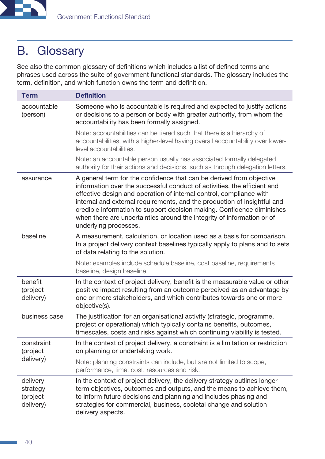<span id="page-39-0"></span>

# B. Glossary

See also the common glossary of definitions which includes a list of defined terms and phrases used across the suite of government functional standards. The glossary includes the term, definition, and which function owns the term and definition.

| <b>Term</b>                                   | <b>Definition</b>                                                                                                                                                                                                                                                                                                                                                                                                                                                                |
|-----------------------------------------------|----------------------------------------------------------------------------------------------------------------------------------------------------------------------------------------------------------------------------------------------------------------------------------------------------------------------------------------------------------------------------------------------------------------------------------------------------------------------------------|
| accountable<br>(person)                       | Someone who is accountable is required and expected to justify actions<br>or decisions to a person or body with greater authority, from whom the<br>accountability has been formally assigned.                                                                                                                                                                                                                                                                                   |
|                                               | Note: accountabilities can be tiered such that there is a hierarchy of<br>accountabilities, with a higher-level having overall accountability over lower-<br>level accountabilities.                                                                                                                                                                                                                                                                                             |
|                                               | Note: an accountable person usually has associated formally delegated<br>authority for their actions and decisions, such as through delegation letters.                                                                                                                                                                                                                                                                                                                          |
| assurance                                     | A general term for the confidence that can be derived from objective<br>information over the successful conduct of activities, the efficient and<br>effective design and operation of internal control, compliance with<br>internal and external requirements, and the production of insightful and<br>credible information to support decision making. Confidence diminishes<br>when there are uncertainties around the integrity of information or of<br>underlying processes. |
| baseline                                      | A measurement, calculation, or location used as a basis for comparison.<br>In a project delivery context baselines typically apply to plans and to sets<br>of data relating to the solution.                                                                                                                                                                                                                                                                                     |
|                                               | Note: examples include schedule baseline, cost baseline, requirements<br>baseline, design baseline.                                                                                                                                                                                                                                                                                                                                                                              |
| benefit<br>(project<br>delivery)              | In the context of project delivery, benefit is the measurable value or other<br>positive impact resulting from an outcome perceived as an advantage by<br>one or more stakeholders, and which contributes towards one or more<br>objective(s).                                                                                                                                                                                                                                   |
| business case                                 | The justification for an organisational activity (strategic, programme,<br>project or operational) which typically contains benefits, outcomes,<br>timescales, costs and risks against which continuing viability is tested.                                                                                                                                                                                                                                                     |
| constraint<br>(project                        | In the context of project delivery, a constraint is a limitation or restriction<br>on planning or undertaking work.                                                                                                                                                                                                                                                                                                                                                              |
| delivery)                                     | Note: planning constraints can include, but are not limited to scope,<br>performance, time, cost, resources and risk.                                                                                                                                                                                                                                                                                                                                                            |
| delivery<br>strategy<br>(project<br>delivery) | In the context of project delivery, the delivery strategy outlines longer<br>term objectives, outcomes and outputs, and the means to achieve them,<br>to inform future decisions and planning and includes phasing and<br>strategies for commercial, business, societal change and solution<br>delivery aspects.                                                                                                                                                                 |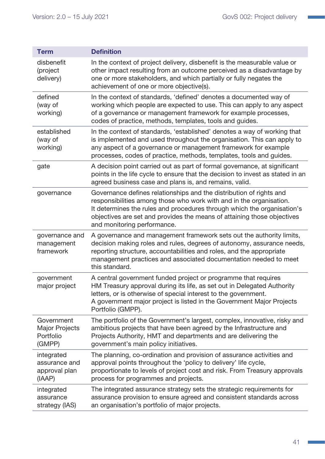Т

| <b>Term</b>                                                | <b>Definition</b>                                                                                                                                                                                                                                                                                                               |
|------------------------------------------------------------|---------------------------------------------------------------------------------------------------------------------------------------------------------------------------------------------------------------------------------------------------------------------------------------------------------------------------------|
| disbenefit<br>(project<br>delivery)                        | In the context of project delivery, disbenefit is the measurable value or<br>other impact resulting from an outcome perceived as a disadvantage by<br>one or more stakeholders, and which partially or fully negates the<br>achievement of one or more objective(s).                                                            |
| defined<br>(way of<br>working)                             | In the context of standards, 'defined' denotes a documented way of<br>working which people are expected to use. This can apply to any aspect<br>of a governance or management framework for example processes,<br>codes of practice, methods, templates, tools and guides.                                                      |
| established<br>(way of<br>working)                         | In the context of standards, 'established' denotes a way of working that<br>is implemented and used throughout the organisation. This can apply to<br>any aspect of a governance or management framework for example<br>processes, codes of practice, methods, templates, tools and guides.                                     |
| gate                                                       | A decision point carried out as part of formal governance, at significant<br>points in the life cycle to ensure that the decision to invest as stated in an<br>agreed business case and plans is, and remains, valid.                                                                                                           |
| governance                                                 | Governance defines relationships and the distribution of rights and<br>responsibilities among those who work with and in the organisation.<br>It determines the rules and procedures through which the organisation's<br>objectives are set and provides the means of attaining those objectives<br>and monitoring performance. |
| governance and<br>management<br>framework                  | A governance and management framework sets out the authority limits,<br>decision making roles and rules, degrees of autonomy, assurance needs,<br>reporting structure, accountabilities and roles, and the appropriate<br>management practices and associated documentation needed to meet<br>this standard.                    |
| government<br>major project                                | A central government funded project or programme that requires<br>HM Treasury approval during its life, as set out in Delegated Authority<br>letters, or is otherwise of special interest to the government.<br>A government major project is listed in the Government Major Projects<br>Portfolio (GMPP).                      |
| Government<br><b>Major Projects</b><br>Portfolio<br>(GMPP) | The portfolio of the Government's largest, complex, innovative, risky and<br>ambitious projects that have been agreed by the Infrastructure and<br>Projects Authority, HMT and departments and are delivering the<br>government's main policy initiatives.                                                                      |
| integrated<br>assurance and<br>approval plan<br>(IAAP)     | The planning, co-ordination and provision of assurance activities and<br>approval points throughout the 'policy to delivery' life cycle,<br>proportionate to levels of project cost and risk. From Treasury approvals<br>process for programmes and projects.                                                                   |
| integrated<br>assurance<br>strategy (IAS)                  | The integrated assurance strategy sets the strategic requirements for<br>assurance provision to ensure agreed and consistent standards across<br>an organisation's portfolio of major projects.                                                                                                                                 |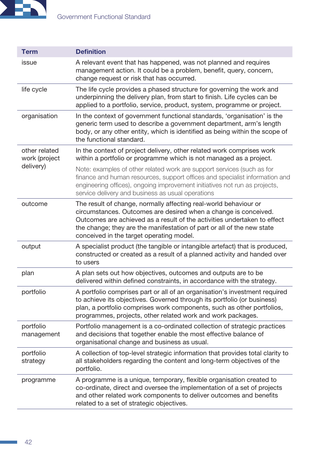

| <b>Term</b>                    | <b>Definition</b>                                                                                                                                                                                                                                                                                                                     |
|--------------------------------|---------------------------------------------------------------------------------------------------------------------------------------------------------------------------------------------------------------------------------------------------------------------------------------------------------------------------------------|
| issue                          | A relevant event that has happened, was not planned and requires<br>management action. It could be a problem, benefit, query, concern,<br>change request or risk that has occurred.                                                                                                                                                   |
| life cycle                     | The life cycle provides a phased structure for governing the work and<br>underpinning the delivery plan, from start to finish. Life cycles can be<br>applied to a portfolio, service, product, system, programme or project.                                                                                                          |
| organisation                   | In the context of government functional standards, 'organisation' is the<br>generic term used to describe a government department, arm's length<br>body, or any other entity, which is identified as being within the scope of<br>the functional standard.                                                                            |
| other related<br>work (project | In the context of project delivery, other related work comprises work<br>within a portfolio or programme which is not managed as a project.                                                                                                                                                                                           |
| delivery)                      | Note: examples of other related work are support services (such as for<br>finance and human resources, support offices and specialist information and<br>engineering offices), ongoing improvement initiatives not run as projects,<br>service delivery and business as usual operations                                              |
| outcome                        | The result of change, normally affecting real-world behaviour or<br>circumstances. Outcomes are desired when a change is conceived.<br>Outcomes are achieved as a result of the activities undertaken to effect<br>the change; they are the manifestation of part or all of the new state<br>conceived in the target operating model. |
| output                         | A specialist product (the tangible or intangible artefact) that is produced,<br>constructed or created as a result of a planned activity and handed over<br>to users                                                                                                                                                                  |
| plan                           | A plan sets out how objectives, outcomes and outputs are to be<br>delivered within defined constraints, in accordance with the strategy.                                                                                                                                                                                              |
| portfolio                      | A portfolio comprises part or all of an organisation's investment required<br>to achieve its objectives. Governed through its portfolio (or business)<br>plan, a portfolio comprises work components, such as other portfolios,<br>programmes, projects, other related work and work packages.                                        |
| portfolio<br>management        | Portfolio management is a co-ordinated collection of strategic practices<br>and decisions that together enable the most effective balance of<br>organisational change and business as usual.                                                                                                                                          |
| portfolio<br>strategy          | A collection of top-level strategic information that provides total clarity to<br>all stakeholders regarding the content and long-term objectives of the<br>portfolio.                                                                                                                                                                |
| programme                      | A programme is a unique, temporary, flexible organisation created to<br>co-ordinate, direct and oversee the implementation of a set of projects<br>and other related work components to deliver outcomes and benefits<br>related to a set of strategic objectives.                                                                    |

 $\mathcal{L}_{\mathcal{A}}$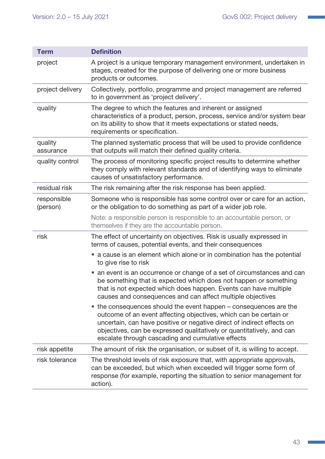| <b>Term</b>             | <b>Definition</b>                                                                                                                                                                                                                                                                                                                            |
|-------------------------|----------------------------------------------------------------------------------------------------------------------------------------------------------------------------------------------------------------------------------------------------------------------------------------------------------------------------------------------|
| project                 | A project is a unique temporary management environment, undertaken in<br>stages, created for the purpose of delivering one or more business<br>products or outcomes.                                                                                                                                                                         |
| project delivery        | Collectively, portfolio, programme and project management are referred<br>to in government as 'project delivery'.                                                                                                                                                                                                                            |
| quality                 | The degree to which the features and inherent or assigned<br>characteristics of a product, person, process, service and/or system bear<br>on its ability to show that it meets expectations or stated needs,<br>requirements or specification.                                                                                               |
| quality<br>assurance    | The planned systematic process that will be used to provide confidence<br>that outputs will match their defined quality criteria.                                                                                                                                                                                                            |
| quality control         | The process of monitoring specific project results to determine whether<br>they comply with relevant standards and of identifying ways to eliminate<br>causes of unsatisfactory performance.                                                                                                                                                 |
| residual risk           | The risk remaining after the risk response has been applied.                                                                                                                                                                                                                                                                                 |
| responsible<br>(person) | Someone who is responsible has some control over or care for an action,<br>or the obligation to do something as part of a wider job role.                                                                                                                                                                                                    |
|                         | Note: a responsible person is responsible to an accountable person, or<br>themselves if they are the accountable person.                                                                                                                                                                                                                     |
| risk                    | The effect of uncertainty on objectives. Risk is usually expressed in<br>terms of causes, potential events, and their consequences                                                                                                                                                                                                           |
|                         | • a cause is an element which alone or in combination has the potential<br>to give rise to risk                                                                                                                                                                                                                                              |
|                         | an event is an occurrence or change of a set of circumstances and can<br>be something that is expected which does not happen or something<br>that is not expected which does happen. Events can have multiple<br>causes and consequences and can affect multiple objectives                                                                  |
|                         | the consequences should the event happen – consequences are the<br>outcome of an event affecting objectives, which can be certain or<br>uncertain, can have positive or negative direct of indirect effects on<br>objectives, can be expressed qualitatively or quantitatively, and can<br>escalate through cascading and cumulative effects |
| risk appetite           | The amount of risk the organisation, or subset of it, is willing to accept.                                                                                                                                                                                                                                                                  |
| risk tolerance          | The threshold levels of risk exposure that, with appropriate approvals,<br>can be exceeded, but which when exceeded will trigger some form of<br>response (for example, reporting the situation to senior management for<br>action).                                                                                                         |

H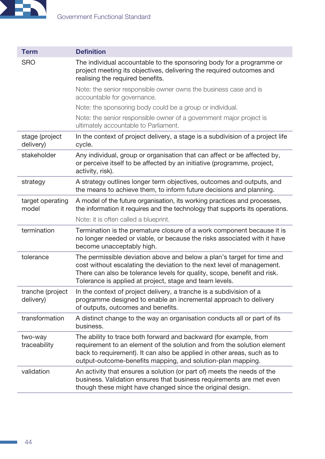

| <b>Term</b>                   | <b>Definition</b>                                                                                                                                                                                                                                                                       |
|-------------------------------|-----------------------------------------------------------------------------------------------------------------------------------------------------------------------------------------------------------------------------------------------------------------------------------------|
| <b>SRO</b>                    | The individual accountable to the sponsoring body for a programme or<br>project meeting its objectives, delivering the required outcomes and<br>realising the required benefits.                                                                                                        |
|                               | Note: the senior responsible owner owns the business case and is<br>accountable for governance.                                                                                                                                                                                         |
|                               | Note: the sponsoring body could be a group or individual.                                                                                                                                                                                                                               |
|                               | Note: the senior responsible owner of a government major project is<br>ultimately accountable to Parliament.                                                                                                                                                                            |
| stage (project<br>delivery)   | In the context of project delivery, a stage is a subdivision of a project life<br>cycle.                                                                                                                                                                                                |
| stakeholder                   | Any individual, group or organisation that can affect or be affected by,<br>or perceive itself to be affected by an initiative (programme, project,<br>activity, risk).                                                                                                                 |
| strategy                      | A strategy outlines longer term objectives, outcomes and outputs, and<br>the means to achieve them, to inform future decisions and planning.                                                                                                                                            |
| target operating<br>model     | A model of the future organisation, its working practices and processes,<br>the information it requires and the technology that supports its operations.                                                                                                                                |
|                               | Note: it is often called a blueprint.                                                                                                                                                                                                                                                   |
| termination                   | Termination is the premature closure of a work component because it is<br>no longer needed or viable, or because the risks associated with it have<br>become unacceptably high.                                                                                                         |
| tolerance                     | The permissible deviation above and below a plan's target for time and<br>cost without escalating the deviation to the next level of management.<br>There can also be tolerance levels for quality, scope, benefit and risk.<br>Tolerance is applied at project, stage and team levels. |
| tranche (project<br>delivery) | In the context of project delivery, a tranche is a subdivision of a<br>programme designed to enable an incremental approach to delivery<br>of outputs, outcomes and benefits.                                                                                                           |
| transformation                | A distinct change to the way an organisation conducts all or part of its<br>business.                                                                                                                                                                                                   |
| two-way<br>traceability       | The ability to trace both forward and backward (for example, from<br>requirement to an element of the solution and from the solution element<br>back to requirement). It can also be applied in other areas, such as to<br>output-outcome-benefits mapping, and solution-plan mapping.  |
| validation                    | An activity that ensures a solution (or part of) meets the needs of the<br>business. Validation ensures that business requirements are met even<br>though these might have changed since the original design.                                                                           |

 $\mathbb{R}^2$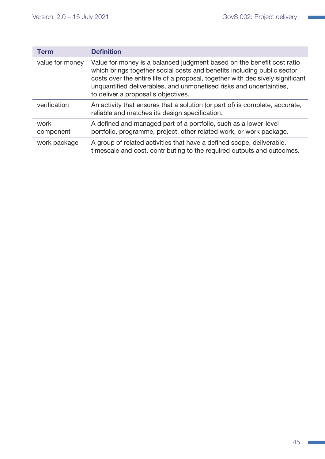| Term              | <b>Definition</b>                                                                                                                                                                                                                                                                                                                                 |
|-------------------|---------------------------------------------------------------------------------------------------------------------------------------------------------------------------------------------------------------------------------------------------------------------------------------------------------------------------------------------------|
| value for money   | Value for money is a balanced judgment based on the benefit cost ratio<br>which brings together social costs and benefits including public sector<br>costs over the entire life of a proposal, together with decisively significant<br>unquantified deliverables, and unmonetised risks and uncertainties,<br>to deliver a proposal's objectives. |
| verification      | An activity that ensures that a solution (or part of) is complete, accurate,<br>reliable and matches its design specification.                                                                                                                                                                                                                    |
| work<br>component | A defined and managed part of a portfolio, such as a lower-level<br>portfolio, programme, project, other related work, or work package.                                                                                                                                                                                                           |
| work package      | A group of related activities that have a defined scope, deliverable,<br>timescale and cost, contributing to the required outputs and outcomes.                                                                                                                                                                                                   |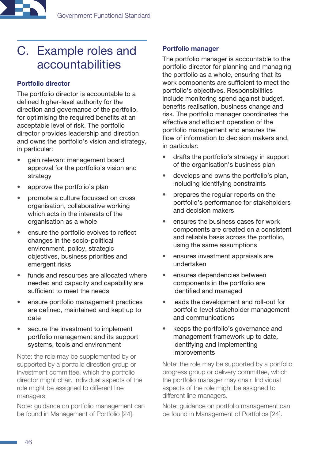<span id="page-45-0"></span>

# C. Example roles and accountabilities

#### Portfolio director

The portfolio director is accountable to a defined higher-level authority for the direction and governance of the portfolio, for optimising the required benefits at an acceptable level of risk. The portfolio director provides leadership and direction and owns the portfolio's vision and strategy, in particular:

- gain relevant management board approval for the portfolio's vision and strategy
- approve the portfolio's plan
- promote a culture focussed on cross organisation, collaborative working which acts in the interests of the organisation as a whole
- ensure the portfolio evolves to reflect changes in the socio-political environment, policy, strategic objectives, business priorities and emergent risks
- funds and resources are allocated where needed and capacity and capability are sufficient to meet the needs
- ensure portfolio management practices are defined, maintained and kept up to date
- secure the investment to implement portfolio management and its support systems, tools and environment

Note: the role may be supplemented by or supported by a portfolio direction group or investment committee, which the portfolio director might chair. Individual aspects of the role might be assigned to different line managers.

Note: guidance on portfolio management can be found in Management of Portfolio [24].

#### Portfolio manager

The portfolio manager is accountable to the portfolio director for planning and managing the portfolio as a whole, ensuring that its work components are sufficient to meet the portfolio's objectives. Responsibilities include monitoring spend against budget, benefits realisation, business change and risk. The portfolio manager coordinates the effective and efficient operation of the portfolio management and ensures the flow of information to decision makers and, in particular:

- drafts the portfolio's strategy in support of the organisation's business plan
- develops and owns the portfolio's plan, including identifying constraints
- prepares the regular reports on the portfolio's performance for stakeholders and decision makers
- ensures the business cases for work components are created on a consistent and reliable basis across the portfolio, using the same assumptions
- ensures investment appraisals are undertaken
- ensures dependencies between components in the portfolio are identified and managed
- leads the development and roll-out for portfolio-level stakeholder management and communications
- keeps the portfolio's governance and management framework up to date, identifying and implementing improvements

Note: the role may be supported by a portfolio progress group or delivery committee, which the portfolio manager may chair. Individual aspects of the role might be assigned to different line managers.

Note: guidance on portfolio management can be found in Management of Portfolios [24].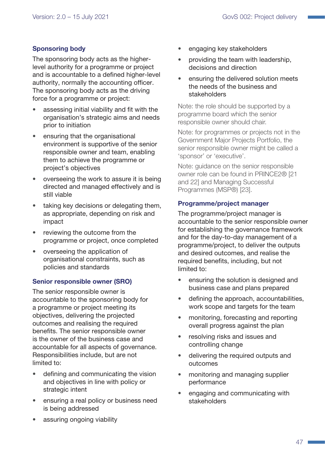#### Sponsoring body

The sponsoring body acts as the higherlevel authority for a programme or project and is accountable to a defined higher-level authority, normally the accounting officer. The sponsoring body acts as the driving force for a programme or project:

- assessing initial viability and fit with the organisation's strategic aims and needs prior to initiation
- ensuring that the organisational environment is supportive of the senior responsible owner and team, enabling them to achieve the programme or project's objectives
- overseeing the work to assure it is being directed and managed effectively and is still viable
- taking key decisions or delegating them, as appropriate, depending on risk and impact
- reviewing the outcome from the programme or project, once completed
- overseeing the application of organisational constraints, such as policies and standards

#### Senior responsible owner (SRO)

The senior responsible owner is accountable to the sponsoring body for a programme or project meeting its objectives, delivering the projected outcomes and realising the required benefits. The senior responsible owner is the owner of the business case and accountable for all aspects of governance. Responsibilities include, but are not limited to:

- defining and communicating the vision and objectives in line with policy or strategic intent
- ensuring a real policy or business need is being addressed
- assuring ongoing viability
- engaging key stakeholders
- providing the team with leadership, decisions and direction
- ensuring the delivered solution meets the needs of the business and stakeholders

Note: the role should be supported by a programme board which the senior responsible owner should chair.

Note: for programmes or projects not in the Government Major Projects Portfolio, the senior responsible owner might be called a 'sponsor' or 'executive'.

Note: guidance on the senior responsible owner role can be found in PRINCE2® [21 and 22] and Managing Successful Programmes (MSP®) [23].

#### Programme/project manager

The programme/project manager is accountable to the senior responsible owner for establishing the governance framework and for the day-to-day management of a programme/project, to deliver the outputs and desired outcomes, and realise the required benefits, including, but not limited to:

- ensuring the solution is designed and business case and plans prepared
- defining the approach, accountabilities, work scope and targets for the team
- monitoring, forecasting and reporting overall progress against the plan
- resolving risks and issues and controlling change
- delivering the required outputs and outcomes
- monitoring and managing supplier performance
- engaging and communicating with stakeholders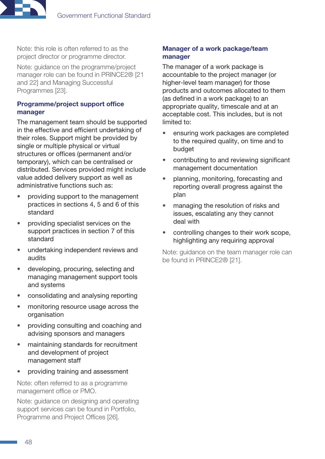

Note: this role is often referred to as the project director or programme director.

Note: guidance on the programme/project manager role can be found in PRINCE2® [21 and 22] and Managing Successful Programmes [23].

#### Programme/project support office manager

The management team should be supported in the effective and efficient undertaking of their roles. Support might be provided by single or multiple physical or virtual structures or offices (permanent and/or temporary), which can be centralised or distributed. Services provided might include value added delivery support as well as administrative functions such as:

- providing support to the management practices in sections 4, 5 and 6 of this standard
- providing specialist services on the support practices in section 7 of this standard
- undertaking independent reviews and audits
- developing, procuring, selecting and managing management support tools and systems
- consolidating and analysing reporting
- monitoring resource usage across the organisation
- providing consulting and coaching and advising sponsors and managers
- maintaining standards for recruitment and development of project management staff
- providing training and assessment

Note: often referred to as a programme management office or PMO.

Note: guidance on designing and operating support services can be found in Portfolio, Programme and Project Offices [26].

#### Manager of a work package/team manager

The manager of a work package is accountable to the project manager (or higher-level team manager) for those products and outcomes allocated to them (as defined in a work package) to an appropriate quality, timescale and at an acceptable cost. This includes, but is not limited to:

- ensuring work packages are completed to the required quality, on time and to budget
- contributing to and reviewing significant management documentation
- planning, monitoring, forecasting and reporting overall progress against the plan
- managing the resolution of risks and issues, escalating any they cannot deal with
- controlling changes to their work scope, highlighting any requiring approval

Note: guidance on the team manager role can be found in PRINCE2® [21].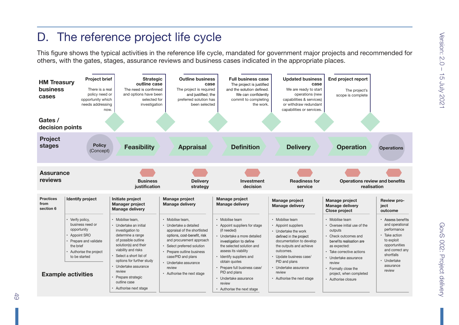<span id="page-48-0"></span>

 $rac{4}{5}$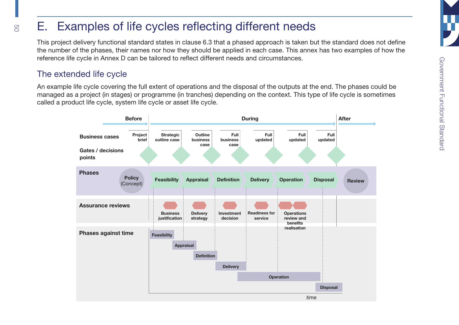#### E.Examples of life cycles reflecting different needs

This project delivery functional standard states in clause [6.3](#page-19-3) that a phased approach is taken but the standard does not define the number of the phases, their names nor how they should be applied in each case. This annex has two examples of how the reference life cycle in Annex D can be tailored to reflect different needs and circumstances.

# The extended life cycle

<span id="page-49-0"></span>50

An example life cycle covering the full extent of operations and the disposal of the outputs at the end. The phases could be managed as a project (in stages) or programme (in tranches) depending on the context. This type of life cycle is sometimes called a product life cycle, system life cycle or asset life cycle.